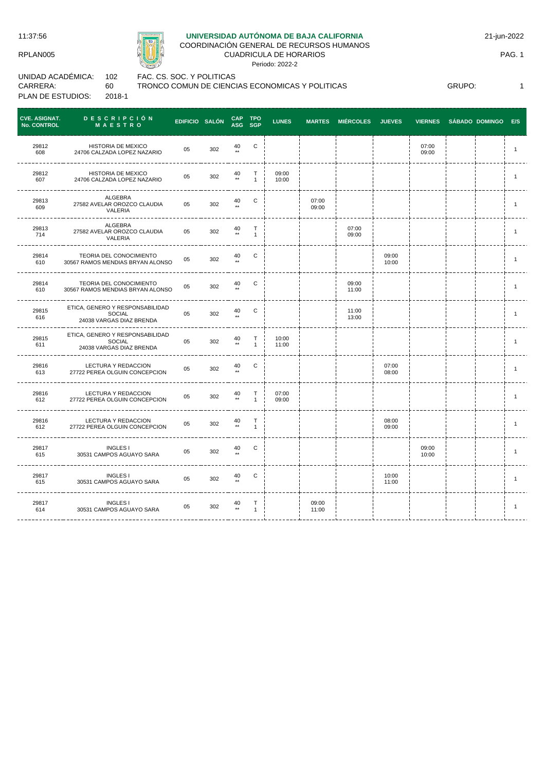11:37:56

RPLAN005



## **UNIVERSIDAD AUTÓNOMA DE BAJA CALIFORNIA**

COORDINACIÓN GENERAL DE RECURSOS HUMANOS CUADRICULA DE HORARIOS

Periodo: 2022-2

21-jun-2022

PAG. 1

UNIDAD ACADÉMICA: CARRERA: PLAN DE ESTUDIOS: 102 60 2018-1

FAC. CS. SOC. Y POLITICAS TRONCO COMUN DE CIENCIAS ECONOMICAS Y POLITICAS

GRUPO: 1

| <b>CVE. ASIGNAT.</b><br><b>No. CONTROL</b> | <b>DESCRIPCIÓN</b><br>MAESTRO                                                | EDIFICIO SALÓN |     | <b>CAP</b>                 | TPO<br>ASG SGP               | <b>LUNES</b>   |                | MARTES MIÉRCOLES JUEVES |                | <b>VIERNES</b> | SÁBADO DOMINGO E/S |              |
|--------------------------------------------|------------------------------------------------------------------------------|----------------|-----|----------------------------|------------------------------|----------------|----------------|-------------------------|----------------|----------------|--------------------|--------------|
| 29812<br>608                               | <b>HISTORIA DE MEXICO</b><br>24706 CALZADA LOPEZ NAZARIO                     | 05             | 302 | 40                         | C                            |                |                |                         |                | 07:00<br>09:00 |                    | $\mathbf{1}$ |
| 29812<br>607                               | HISTORIA DE MEXICO<br>24706 CALZADA LOPEZ NAZARIO                            | 05             | 302 | 40<br>$^{\star\star}$      | Т<br>$\mathbf{1}$            | 09:00<br>10:00 |                |                         |                |                |                    | $\mathbf{1}$ |
| 29813<br>609                               | ALGEBRA<br>27582 AVELAR OROZCO CLAUDIA<br>VALERIA                            | 05             | 302 | 40<br>$\star\star$         | C                            |                | 07:00<br>09:00 |                         |                |                |                    | $\mathbf{1}$ |
| 29813<br>714                               | ALGEBRA<br>27582 AVELAR OROZCO CLAUDIA<br>VALERIA                            | 05             | 302 | 40<br>$\star\star$         | $\mathsf{T}$<br>$\mathbf{1}$ |                |                | 07:00<br>09:00          |                |                |                    | $\mathbf{1}$ |
| 29814<br>610                               | TEORIA DEL CONOCIMIENTO<br>30567 RAMOS MENDIAS BRYAN ALONSO                  | 05             | 302 | 40                         | C                            |                |                |                         | 09:00<br>10:00 |                |                    | $\mathbf{1}$ |
| 29814<br>610                               | TEORIA DEL CONOCIMIENTO<br>30567 RAMOS MENDIAS BRYAN ALONSO                  | 05             | 302 | 40                         | $\mathbf C$                  |                |                | 09:00<br>11:00          |                |                |                    | $\mathbf{1}$ |
| 29815<br>616                               | ETICA, GENERO Y RESPONSABILIDAD<br>SOCIAL<br>24038 VARGAS DIAZ BRENDA        | 05             | 302 | 40                         | $\mathsf{C}$                 |                |                | 11:00<br>13:00          |                |                |                    | $\mathbf{1}$ |
| 29815<br>611                               | ETICA, GENERO Y RESPONSABILIDAD<br><b>SOCIAL</b><br>24038 VARGAS DIAZ BRENDA | 05             | 302 | 40<br>$\star\star$         | T<br>$\mathbf{1}$            | 10:00<br>11:00 |                |                         |                |                |                    | $\mathbf{1}$ |
| 29816<br>613                               | LECTURA Y REDACCION<br>27722 PEREA OLGUIN CONCEPCION                         | 05             | 302 | 40                         | C                            |                |                |                         | 07:00<br>08:00 |                |                    | $\mathbf{1}$ |
| 29816<br>612                               | LECTURA Y REDACCION<br>27722 PEREA OLGUIN CONCEPCION                         | 05             | 302 | $40 \atop \star \star$     | T<br>$\mathbf{1}$            | 07:00<br>09:00 |                |                         |                |                |                    | $\mathbf{1}$ |
| 29816<br>612                               | LECTURA Y REDACCION<br>27722 PEREA OLGUIN CONCEPCION                         | 05             | 302 | 40                         | Т<br>$\mathbf{1}$            |                |                |                         | 08:00<br>09:00 |                |                    | $\mathbf{1}$ |
| 29817<br>615                               | <b>INGLES I</b><br>30531 CAMPOS AGUAYO SARA                                  | 05             | 302 | $40 \atop \star\star$      | C                            |                |                |                         |                | 09:00<br>10:00 |                    | $\mathbf{1}$ |
| 29817<br>615                               | <b>INGLES I</b><br>30531 CAMPOS AGUAYO SARA                                  | 05             | 302 | 40                         | C                            |                |                |                         | 10:00<br>11:00 |                |                    | $\mathbf{1}$ |
| 29817<br>614                               | <b>INGLES I</b><br>30531 CAMPOS AGUAYO SARA                                  | 05             | 302 | $^{40}_{\tiny \star\star}$ | $\mathsf T$<br>$\mathbf{1}$  |                | 09:00<br>11:00 |                         |                |                |                    | $\mathbf{1}$ |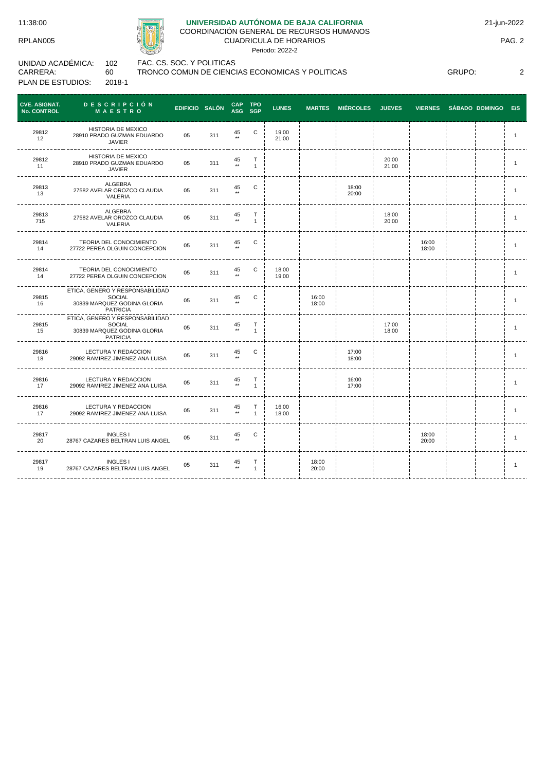## **UNIVERSIDAD AUTÓNOMA DE BAJA CALIFORNIA**

COORDINACIÓN GENERAL DE RECURSOS HUMANOS CUADRICULA DE HORARIOS

Periodo: 2022-2

UNIDAD ACADÉMICA: CARRERA: PLAN DE ESTUDIOS: 102 60 2018-1

FAC. CS. SOC. Y POLITICAS TRONCO COMUN DE CIENCIAS ECONOMICAS Y POLITICAS

GRUPO: 2

| <b>CVE. ASIGNAT.</b><br><b>No. CONTROL</b> | DESCRIPCIÓN<br><b>MAESTRO</b>                                                                      | <b>EDIFICIO SALÓN</b> |     | <b>CAP</b><br><b>ASG</b> | <b>TPO</b><br><b>SGP</b>  | <b>LUNES</b>   | <b>MARTES</b>  | <b>MIÉRCOLES</b> | <b>JUEVES</b>  | <b>VIERNES</b> | SÁBADO DOMINGO E/S |                |
|--------------------------------------------|----------------------------------------------------------------------------------------------------|-----------------------|-----|--------------------------|---------------------------|----------------|----------------|------------------|----------------|----------------|--------------------|----------------|
| 29812<br>12                                | HISTORIA DE MEXICO<br>28910 PRADO GUZMAN EDUARDO<br><b>JAVIER</b>                                  | 05                    | 311 | 45                       | $\mathbf C$               | 19:00<br>21:00 |                |                  |                |                |                    | $\mathbf{1}$   |
| 29812<br>11                                | HISTORIA DE MEXICO<br>28910 PRADO GUZMAN EDUARDO<br><b>JAVIER</b>                                  | 05                    | 311 | $45 \atop \ast \ast$     | Т<br>$\overline{1}$       |                |                |                  | 20:00<br>21:00 |                |                    | $\mathbf{1}$   |
| 29813<br>13                                | ALGEBRA<br>27582 AVELAR OROZCO CLAUDIA<br>VALERIA                                                  | 05                    | 311 | 45                       | C                         |                |                | 18:00<br>20:00   |                |                |                    | $\mathbf{1}$   |
| 29813<br>715                               | ALGEBRA<br>27582 AVELAR OROZCO CLAUDIA<br>VALERIA                                                  | 05                    | 311 | 45                       | Т<br>$\mathbf{1}$         |                |                |                  | 18:00<br>20:00 |                |                    | $\overline{1}$ |
| 29814<br>14                                | TEORIA DEL CONOCIMIENTO<br>27722 PEREA OLGUIN CONCEPCION                                           | 05                    | 311 | 45                       | C                         |                |                |                  |                | 16:00<br>18:00 |                    | $\mathbf{1}$   |
| 29814<br>14                                | <b>TEORIA DEL CONOCIMIENTO</b><br>27722 PEREA OLGUIN CONCEPCION                                    | 05                    | 311 | 45                       | C                         | 18:00<br>19:00 |                |                  |                |                |                    | $\mathbf{1}$   |
| 29815<br>16                                | ETICA, GENERO Y RESPONSABILIDAD<br><b>SOCIAL</b><br>30839 MARQUEZ GODINA GLORIA<br><b>PATRICIA</b> | 05                    | 311 | 45                       | C                         |                | 16:00<br>18:00 |                  |                |                |                    | $\mathbf{1}$   |
| 29815<br>15                                | ETICA, GENERO Y RESPONSABILIDAD<br><b>SOCIAL</b><br>30839 MARQUEZ GODINA GLORIA<br>PATRICIA        | 05                    | 311 | 45                       | Т<br>$\mathbf{1}$         |                |                |                  | 17:00<br>18:00 |                |                    | $\mathbf{1}$   |
| 29816<br>18                                | LECTURA Y REDACCION<br>29092 RAMIREZ JIMENEZ ANA LUISA                                             | 05                    | 311 | 45                       | C                         |                |                | 17:00<br>18:00   |                |                |                    | $\mathbf{1}$   |
| 29816<br>17                                | LECTURA Y REDACCION<br>29092 RAMIREZ JIMENEZ ANA LUISA                                             | 05                    | 311 | 45                       | т                         |                |                | 16:00<br>17:00   |                |                |                    | $\mathbf{1}$   |
| 29816<br>17                                | LECTURA Y REDACCION<br>29092 RAMIREZ JIMENEZ ANA LUISA                                             | 05                    | 311 | $45 \atop \ast \ast$     | Т<br>$\blacktriangleleft$ | 16:00<br>18:00 |                |                  |                |                |                    | $\overline{1}$ |
| 29817<br>20                                | <b>INGLES I</b><br>28767 CAZARES BELTRAN LUIS ANGEL                                                | 05                    | 311 | 45                       | С                         |                |                |                  |                | 18:00<br>20:00 |                    | $\overline{1}$ |
| 29817<br>19                                | <b>INGLES I</b><br>28767 CAZARES BELTRAN LUIS ANGEL                                                | 05                    | 311 | 45<br>$^{\star\star}$    | $\top$<br>$\mathbf{1}$    |                | 18:00<br>20:00 |                  |                |                |                    | $\overline{1}$ |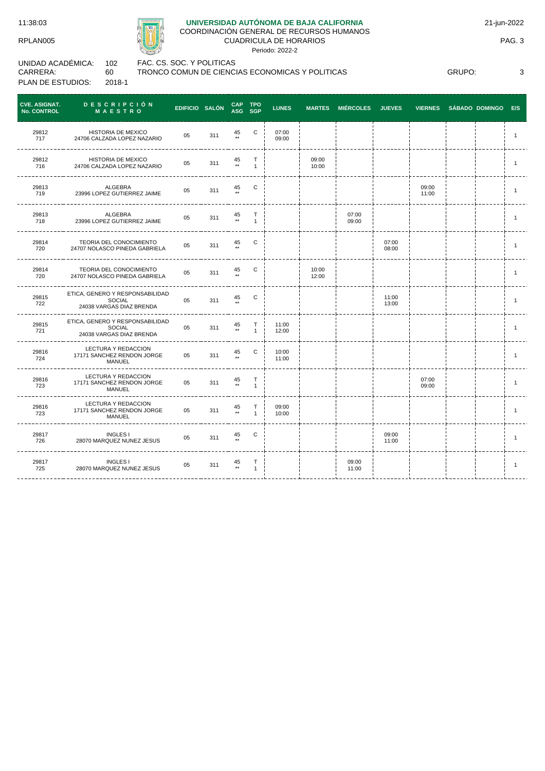11:38:03

RPLAN005

# **UNIVERSIDAD AUTÓNOMA DE BAJA CALIFORNIA**

COORDINACIÓN GENERAL DE RECURSOS HUMANOS CUADRICULA DE HORARIOS

Periodo: 2022-2

UNIDAD ACADÉMICA: CARRERA: PLAN DE ESTUDIOS: 102 60 2018-1

FAC. CS. SOC. Y POLITICAS TRONCO COMUN DE CIENCIAS ECONOMICAS Y POLITICAS

GRUPO: 3

| <b>CVE. ASIGNAT.</b><br><b>No. CONTROL</b> | <b>DESCRIPCIÓN</b><br><b>MAESTRO</b>                                         | EDIFICIO SALÓN |     | CAP TPO<br>ASG SGP     |                           | <b>LUNES</b>   |                | MARTES MIÉRCOLES JUEVES |                | VIERNES SÁBADO DOMINGO E/S |  |                |
|--------------------------------------------|------------------------------------------------------------------------------|----------------|-----|------------------------|---------------------------|----------------|----------------|-------------------------|----------------|----------------------------|--|----------------|
| 29812<br>717                               | HISTORIA DE MEXICO<br>24706 CALZADA LOPEZ NAZARIO                            | 05             | 311 | 45                     | C                         | 07:00<br>09:00 |                |                         |                |                            |  | $\mathbf{1}$   |
| 29812<br>716                               | HISTORIA DE MEXICO<br>24706 CALZADA LOPEZ NAZARIO                            | 05             | 311 | 45<br>$\star\star$     | Т<br>$\blacktriangleleft$ |                | 09:00<br>10:00 |                         |                |                            |  | $\mathbf{1}$   |
| 29813<br>719                               | ALGEBRA<br>23996 LOPEZ GUTIERREZ JAIME                                       | 05             | 311 | 45<br>$\star\star$     | C                         |                |                |                         |                | 09:00<br>11:00             |  | $\mathbf{1}$   |
| 29813<br>718                               | ALGEBRA<br>23996 LOPEZ GUTIERREZ JAIME                                       | 05             | 311 | 45<br>$\star\star$     | Т<br>$\mathbf{1}$         |                |                | 07:00<br>09:00          |                |                            |  | $\mathbf{1}$   |
| 29814<br>720                               | TEORIA DEL CONOCIMIENTO<br>24707 NOLASCO PINEDA GABRIELA                     | 05             | 311 | 45                     | С                         |                |                |                         | 07:00<br>08:00 |                            |  | $\mathbf{1}$   |
| 29814<br>720                               | TEORIA DEL CONOCIMIENTO<br>24707 NOLASCO PINEDA GABRIELA                     | 05             | 311 | 45                     | C                         |                | 10:00<br>12:00 |                         |                |                            |  | $\mathbf{1}$   |
| 29815<br>722                               | ETICA, GENERO Y RESPONSABILIDAD<br><b>SOCIAL</b><br>24038 VARGAS DIAZ BRENDA | 05             | 311 | 45<br>$+ +$            | C                         |                |                |                         | 11:00<br>13:00 |                            |  | $\overline{1}$ |
| 29815<br>721                               | ETICA, GENERO Y RESPONSABILIDAD<br>SOCIAL<br>24038 VARGAS DIAZ BRENDA        | 05             | 311 | 45<br>$\star\star$     | Т<br>$\mathbf{1}$         | 11:00<br>12:00 |                |                         |                |                            |  | $\mathbf{1}$   |
| 29816<br>724                               | LECTURA Y REDACCION<br>17171 SANCHEZ RENDON JORGE<br>MANUEL                  | 05             | 311 | 45                     | C                         | 10:00<br>11:00 |                |                         |                |                            |  | $\mathbf{1}$   |
| 29816<br>723                               | LECTURA Y REDACCION<br>17171 SANCHEZ RENDON JORGE<br>MANUEL                  | 05             | 311 | 45<br>$\star\star$     | $\top$<br>$\mathbf{1}$    |                |                |                         |                | 07:00<br>09:00             |  | $\mathbf{1}$   |
| 29816<br>723                               | LECTURA Y REDACCION<br>17171 SANCHEZ RENDON JORGE<br><b>MANUEL</b>           | 05             | 311 | $45 \atop \star \star$ | Т<br>$\mathbf{1}$         | 09:00<br>10:00 |                |                         |                |                            |  | $\mathbf{1}$   |
| 29817<br>726                               | <b>INGLES I</b><br>28070 MARQUEZ NUNEZ JESUS                                 | 05             | 311 | 45                     | С                         |                |                |                         | 09:00<br>11:00 |                            |  | $\overline{1}$ |
| 29817<br>725                               | <b>INGLES I</b><br>28070 MARQUEZ NUNEZ JESUS                                 | 05             | 311 | $45 \atop \ast \ast$   | Т<br>$\mathbf{1}$         |                |                | 09:00<br>11:00          |                |                            |  | $\mathbf{1}$   |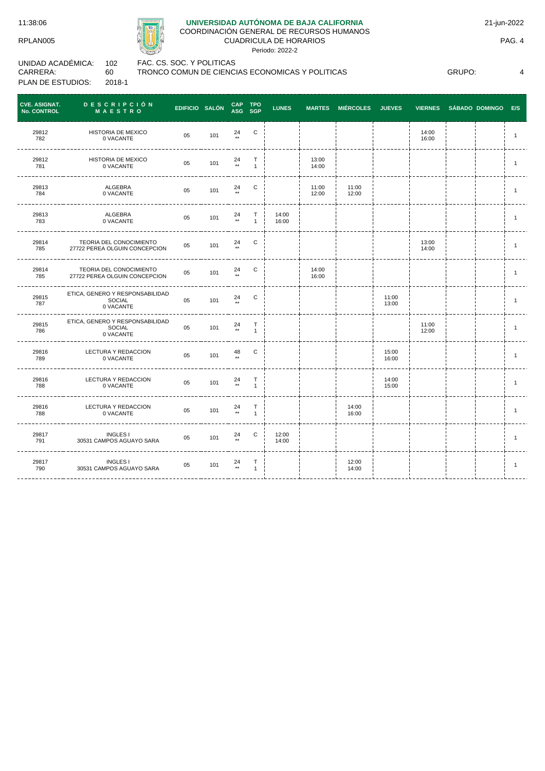# **UNIVERSIDAD AUTÓNOMA DE BAJA CALIFORNIA**

### COORDINACIÓN GENERAL DE RECURSOS HUMANOS CUADRICULA DE HORARIOS

Periodo: 2022-2

| UNIDAD ACADÉMICA: | 102    |
|-------------------|--------|
| CARRERA:          | 60     |
| PLAN DE ESTUDIOS: | 2018-1 |

2 FAC. CS. SOC. Y POLITICAS

TRONCO COMUN DE CIENCIAS ECONOMICAS Y POLITICAS

GRUPO: 4

| <b>CVE. ASIGNAT.</b><br><b>No. CONTROL</b> | <b>DESCRIPCIÓN</b><br><b>MAESTRO</b>                     | EDIFICIO SALÓN |     | CAP TPO<br>ASG SGP     |                              | <b>LUNES</b>   |                | <b>MARTES MIÉRCOLES</b> | <b>JUEVES</b>  | <b>VIERNES</b> | SÁBADO DOMINGO E/S |                |
|--------------------------------------------|----------------------------------------------------------|----------------|-----|------------------------|------------------------------|----------------|----------------|-------------------------|----------------|----------------|--------------------|----------------|
| 29812<br>782                               | HISTORIA DE MEXICO<br>0 VACANTE                          | 05             | 101 | 24<br>$+ +$            | $\mathbf C$                  |                |                |                         |                | 14:00<br>16:00 |                    | $\overline{1}$ |
| 29812<br>781                               | HISTORIA DE MEXICO<br>0 VACANTE                          | 05             | 101 | 24<br>$\star\star$     | T<br>$\mathbf{1}$            |                | 13:00<br>14:00 |                         |                |                |                    | $\mathbf{1}$   |
| 29813<br>784                               | ALGEBRA<br>0 VACANTE                                     | 05             | 101 | 24                     | С                            |                | 11:00<br>12:00 | 11:00<br>12:00          |                |                |                    | $\mathbf{1}$   |
| 29813<br>783                               | ALGEBRA<br>0 VACANTE                                     | 05             | 101 | 24<br>$\star\star$     | $\mathsf{T}$<br>$\mathbf{1}$ | 14:00<br>16:00 |                |                         |                |                |                    | $\mathbf{1}$   |
| 29814<br>785                               | TEORIA DEL CONOCIMIENTO<br>27722 PEREA OLGUIN CONCEPCION | 05             | 101 | 24<br>$\star\star$     | С                            |                |                |                         |                | 13:00<br>14:00 |                    | $\overline{1}$ |
| 29814<br>785                               | TEORIA DEL CONOCIMIENTO<br>27722 PEREA OLGUIN CONCEPCION | 05             | 101 | 24<br>$\star\star$     | С                            |                | 14:00<br>16:00 |                         |                |                |                    | $\overline{1}$ |
| 29815<br>787                               | ETICA, GENERO Y RESPONSABILIDAD<br>SOCIAL<br>0 VACANTE   | 05             | 101 | 24<br>$\star\star$     | $\mathtt{C}$                 |                |                |                         | 11:00<br>13:00 |                |                    | $\overline{1}$ |
| 29815<br>786                               | ETICA, GENERO Y RESPONSABILIDAD<br>SOCIAL<br>0 VACANTE   | 05             | 101 | $24 \atop \star \star$ | T<br>$\mathbf{1}$            |                |                |                         |                | 11:00<br>12:00 |                    | $\overline{1}$ |
| 29816<br>789                               | LECTURA Y REDACCION<br>0 VACANTE                         | 05             | 101 | $48 \atop \star \star$ | С                            |                |                |                         | 15:00<br>16:00 |                |                    | $\mathbf{1}$   |
| 29816<br>788                               | LECTURA Y REDACCION<br>0 VACANTE                         | 05             | 101 | 24<br>$^{\star\star}$  | $\mathsf T$<br>$\mathbf{1}$  |                |                |                         | 14:00<br>15:00 |                |                    | $\mathbf{1}$   |
| 29816<br>788                               | LECTURA Y REDACCION<br>0 VACANTE                         | 05             | 101 | $24 \atop \star \star$ | T<br>$\mathbf{1}$            |                |                | 14:00<br>16:00          |                |                |                    | $\mathbf{1}$   |
| 29817<br>791                               | <b>INGLES I</b><br>30531 CAMPOS AGUAYO SARA              | 05             | 101 | 24                     | С                            | 12:00<br>14:00 |                |                         |                |                |                    | $\overline{1}$ |
| 29817<br>790                               | <b>INGLES I</b><br>30531 CAMPOS AGUAYO SARA              | 05             | 101 | $24 \atop \star \star$ | Т<br>$\mathbf{1}$            |                |                | 12:00<br>14:00          |                |                |                    | $\mathbf{1}$   |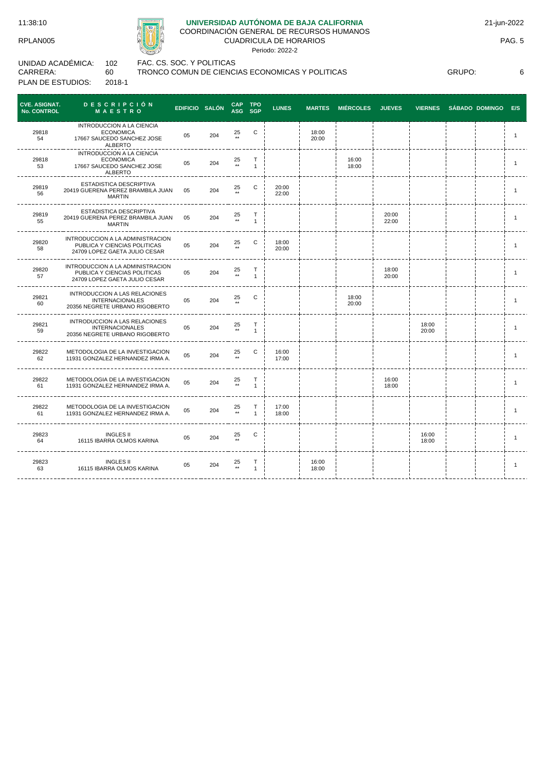# **UNIVERSIDAD AUTÓNOMA DE BAJA CALIFORNIA**

COORDINACIÓN GENERAL DE RECURSOS HUMANOS CUADRICULA DE HORARIOS

Periodo: 2022-2

| UNIDAD ACADÉMICA: | 102    | F |
|-------------------|--------|---|
| CARRERA:          | ഹ      |   |
| PLAN DE ESTUDIOS: | 2018-1 |   |

FAC. CS. SOC. Y POLITICAS TRONCO COMUN DE CIENCIAS ECONOMICAS Y POLITICAS

GRUPO: 6

| <b>CVE. ASIGNAT.</b><br><b>No. CONTROL</b> | <b>DESCRIPCIÓN</b><br>MAESTRO                                                                     | EDIFICIO SALÓN |     | <b>CAP</b>         | <b>TPO</b><br>ASG SGP | <b>LUNES</b>   | <b>MARTES</b>  | <b>MIÉRCOLES</b> | <b>JUEVES</b>  | <b>VIERNES</b> | <b>SÁBADO DOMINGO</b> | E/S            |
|--------------------------------------------|---------------------------------------------------------------------------------------------------|----------------|-----|--------------------|-----------------------|----------------|----------------|------------------|----------------|----------------|-----------------------|----------------|
| 29818<br>54                                | INTRODUCCION A LA CIENCIA<br><b>ECONOMICA</b><br>17667 SAUCEDO SANCHEZ JOSE<br>ALBERTO            | 05             | 204 | 25                 | C                     |                | 18:00<br>20:00 |                  |                |                |                       | $\mathbf{1}$   |
| 29818<br>53                                | INTRODUCCION A LA CIENCIA<br><b>ECONOMICA</b><br>17667 SAUCEDO SANCHEZ JOSE<br><b>ALBERTO</b>     | 05             | 204 | 25                 | т<br>$\overline{1}$   |                |                | 16:00<br>18:00   |                |                |                       | $\mathbf{1}$   |
| 29819<br>56                                | ESTADISTICA DESCRIPTIVA<br>20419 GUERENA PEREZ BRAMBILA JUAN<br><b>MARTIN</b>                     | 05             | 204 | 25<br>$\star\star$ | C                     | 20:00<br>22:00 |                |                  |                |                |                       | $\overline{1}$ |
| 29819<br>55                                | ESTADISTICA DESCRIPTIVA<br>20419 GUERENA PEREZ BRAMBILA JUAN<br><b>MARTIN</b>                     | 05             | 204 | 25<br>$\star\star$ | т<br>$\mathbf{1}$     |                |                |                  | 20:00<br>22:00 |                |                       | $\mathbf{1}$   |
| 29820<br>58                                | INTRODUCCION A LA ADMINISTRACION<br>PUBLICA Y CIENCIAS POLITICAS<br>24709 LOPEZ GAETA JULIO CESAR | 05             | 204 | 25                 | C                     | 18:00<br>20:00 |                |                  |                |                |                       | $\overline{1}$ |
| 29820<br>57                                | INTRODUCCION A LA ADMINISTRACION<br>PUBLICA Y CIENCIAS POLITICAS<br>24709 LOPEZ GAETA JULIO CESAR | 05             | 204 | 25                 | Т<br>$\overline{1}$   |                |                |                  | 18:00<br>20:00 |                |                       | $\mathbf{1}$   |
| 29821<br>60                                | <b>INTRODUCCION A LAS RELACIONES</b><br><b>INTERNACIONALES</b><br>20356 NEGRETE URBANO RIGOBERTO  | 05             | 204 | 25                 | C                     |                |                | 18:00<br>20:00   |                |                |                       | $\mathbf{1}$   |
| 29821<br>59                                | INTRODUCCION A LAS RELACIONES<br><b>INTERNACIONALES</b><br>20356 NEGRETE URBANO RIGOBERTO         | 05             | 204 | 25                 | Т<br>$\mathbf{1}$     |                |                |                  |                | 18:00<br>20:00 |                       | $\mathbf{1}$   |
| 29822<br>62                                | METODOLOGIA DE LA INVESTIGACION<br>11931 GONZALEZ HERNANDEZ IRMA A.                               | 05             | 204 | 25                 | С                     | 16:00<br>17:00 |                |                  |                |                |                       | $\mathbf{1}$   |
| 29822<br>61                                | METODOLOGIA DE LA INVESTIGACION<br>11931 GONZALEZ HERNANDEZ IRMA A.                               | 05             | 204 | 25                 | т<br>$\mathbf{1}$     |                |                |                  | 16:00<br>18:00 |                |                       | $\mathbf{1}$   |
| 29822<br>61                                | METODOLOGIA DE LA INVESTIGACION<br>11931 GONZALEZ HERNANDEZ IRMA A.                               | 05             | 204 | 25                 | Т                     | 17:00<br>18:00 |                |                  |                |                |                       | $\mathbf{1}$   |
| 29823<br>64                                | <b>INGLES II</b><br>16115 IBARRA OLMOS KARINA                                                     | 05             | 204 | 25                 | С                     |                |                |                  |                | 16:00<br>18:00 |                       | $\overline{1}$ |
| 29823<br>63                                | <b>INGLES II</b><br>16115 IBARRA OLMOS KARINA                                                     | 05             | 204 | 25<br>$***$        | т<br>$\mathbf{1}$     |                | 16:00<br>18:00 |                  |                |                |                       | $\mathbf{1}$   |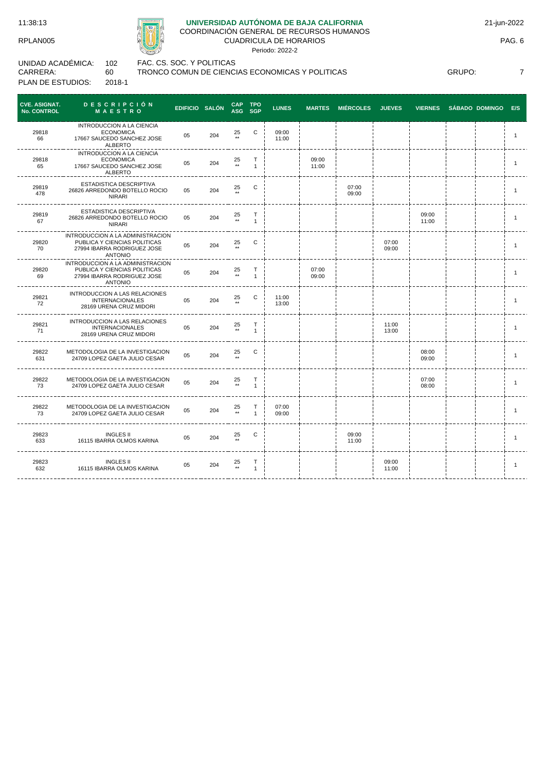## **UNIVERSIDAD AUTÓNOMA DE BAJA CALIFORNIA**

COORDINACIÓN GENERAL DE RECURSOS HUMANOS CUADRICULA DE HORARIOS

Periodo: 2022-2

| UNIDAD ACADÉMICA: | 102    | FAC. CS. SOC. Y POLITICAS |
|-------------------|--------|---------------------------|
| CARRERA:          | 60.    | TRONCO COMUN DE CIENCI    |
| PLAN DE ESTUDIOS: | 2018-1 |                           |

---------------

ICO COMUN DE CIENCIAS ECONOMICAS Y POLITICAS

GRUPO: 7

CAP<br>ASG **TPO CVE. ASIGNAT. No. CONTROL D E S C R I P C I Ó N M A E S T R O EDIFICIO SALÓN CAP SGP LUNES MARTES MIÉRCOLES JUEVES VIERNES SÁBADO DOMINGO E/S** INTRODUCCION A LA CIENCIA 29818 ECONOMICA 05 204 <sup>25</sup>  $C$  09:00<br>11:00 11:00 <sup>1</sup> 17667 SAUCEDO SANCHEZ JOSE 66 ALBERTO -------INTRODUCCION A LA CIENCIA 29818 ECONOMICA <sup>05</sup> <sup>204</sup> <sup>25</sup> T 09:00<br>11:00 11:00 <sup>1</sup> 17667 SAUCEDO SANCHEZ JOSE 65 1 \*\* ALBERTO ---------. . . . . . . . .  $- - - -$ ESTADISTICA DESCRIPTIVA 29819 05 204  $^{25}$  $\begin{array}{ccccccc}\n\text{C} & \text{I} & \text{I} & \text{O7:00} \\
\text{I} & \text{I} & \text{I} & \text{O7:00} \\
\text{I} & \text{I} & \text{O9:00}\n\end{array}$ 26826 ARREDONDO BOTELLO ROCIO 09:00 | | | | | | | | 1<br>09:00 | | | | | | | | | | 1 478 \*\* NIRARI ----------------ESTADISTICA DESCRIPTIVA 29819  $25 \atop \star \star$ T 09:00 26826 ARREDONDO BOTELLO ROCIO 05 204  $09:00$  1 1:00 67 1 NIRARI  $- - - -$ INTRODUCCION A LA ADMINISTRACION PUBLICA Y CIENCIAS POLITICAS 29820 <sup>05</sup> <sup>204</sup> <sup>25</sup> C i i i 07:00 09:00 <sup>1</sup> 70 27994 IBARRA RODRIGUEZ JOSE \*\* ANTONIO <u>--------</u>  $- - - - -$ --------. . . . . . . . . .  $- - - - -$ INTRODUCCION A LA ADMINISTRACION 29820 PUBLICA Y CIENCIAS POLITICAS 25 T 07:00 05 204 09:00 | | | | | | | | | 1<br>09:00 | | | | | | | | | | | | 1 69 27994 IBARRA RODRIGUEZ JOSE 1 ANTONIO ------. . . . . . . . . . . . . . -----INTRODUCCION A LAS RELACIONES 29821  $\begin{array}{ccc} C & | & 11:00 \\ | & 13:00 \end{array}$ 05 204  $\frac{25}{**}$ INTERNACIONALES 13:00 <sup>1</sup> 72 28169 URENA CRUZ MIDORI ------INTRODUCCION A LAS RELACIONES 29821 T 11:00<br>13:00 <sup>05</sup> <sup>204</sup> <sup>25</sup> INTERNACIONALES  $13:00$  1 1  $71$ \*\* 1 28169 URENA CRUZ MIDORI 29822 METODOLOGIA DE LA INVESTIGACION 24709 LOPEZ GAETA JULIO CESAR <sup>05</sup> <sup>204</sup> <sup>25</sup> 25 C i i i i i 08:00 09:00 | | | | 1<br>09:00 | | | | 631 \_\_\_\_\_\_\_\_\_\_\_\_\_\_\_\_\_\_\_\_\_\_\_ 29822 METODOLOGIA DE LA INVESTIGACION T 07:00 25 1ETODOLOGIA DE LA INVESTIGACION 05 204<br>24709 LOPEZ GAETA JULIO CESAR 05 204  $07:00$  i i 1 73 1 --------METODOLOGIA DE LA INVESTIGACION 29822 T 07:00<br>09:00 METODOLOGIA DE LA INVESTIGACION 05 204 25<br>24709 LOPEZ GAETA JULIO CESAR 05 204 \*\* 09:00 <sup>1</sup> 73 \*\* 1 ------29823 INGLES II C 09:00  $25 \atop \ast \ast$ 16115 IBARRA OLMOS KARINA <sup>05</sup> <sup>204</sup> <sup>25</sup>  $11:00$  1 633 \_\_\_\_\_\_\_\_\_\_\_\_\_\_\_\_\_\_\_\_\_\_\_\_\_  $-$ 29823 INGLES II 09:00 25 T 1 16115 IBARRA OLMOS KARINA <sup>05</sup> <sup>204</sup> <sup>25</sup>  $11:00$  1 632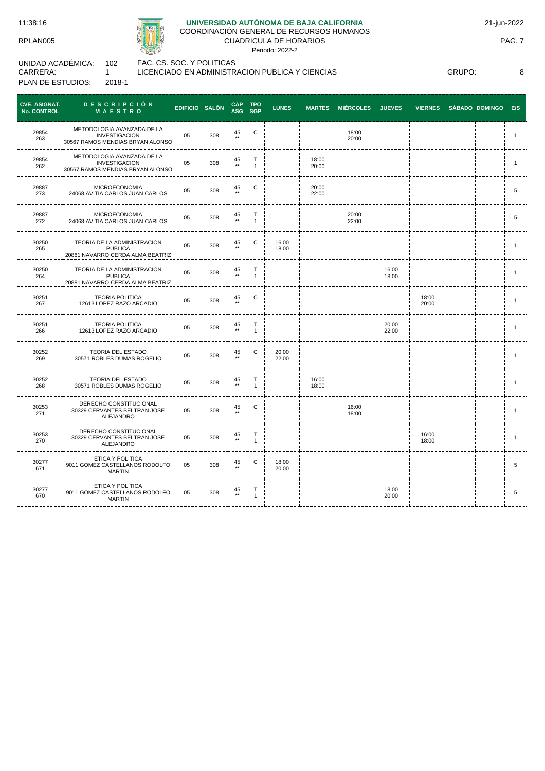# **UNIVERSIDAD AUTÓNOMA DE BAJA CALIFORNIA**

COORDINACIÓN GENERAL DE RECURSOS HUMANOS CUADRICULA DE HORARIOS

Periodo: 2022-2

| UNIDAD ACADÉMICA: | 102    |
|-------------------|--------|
| CARRERA:          |        |
| PLAN DE ESTUDIOS: | 2018-1 |

FAC. CS. SOC. Y POLITICAS

LICENCIADO EN ADMINISTRACION PUBLICA Y CIENCIAS

GRUPO: 8

| <b>CVE. ASIGNAT.</b><br>No. CONTROL | <b>DESCRIPCION</b><br><b>MAESTRO</b>                                                   | EDIFICIO SALÓN |     | CAP TPO<br>ASG SGP     |                   | <b>LUNES</b>   |                | MARTES MIÉRCOLES JUEVES |                | VIERNES SÁBADO DOMINGO E/S |  |                |
|-------------------------------------|----------------------------------------------------------------------------------------|----------------|-----|------------------------|-------------------|----------------|----------------|-------------------------|----------------|----------------------------|--|----------------|
| 29854<br>263                        | METODOLOGIA AVANZADA DE LA<br><b>INVESTIGACION</b><br>30567 RAMOS MENDIAS BRYAN ALONSO | 05             | 308 | 45                     | С                 |                |                | 18:00<br>20:00          |                |                            |  | $\mathbf{1}$   |
| 29854<br>262                        | METODOLOGIA AVANZADA DE LA<br><b>INVESTIGACION</b><br>30567 RAMOS MENDIAS BRYAN ALONSO | 05             | 308 | $45$ **                | т<br>$\mathbf{1}$ |                | 18:00<br>20:00 |                         |                |                            |  | $\overline{1}$ |
| 29887<br>273                        | <b>MICROECONOMIA</b><br>24068 AVITIA CARLOS JUAN CARLOS                                | 05             | 308 | 45                     | C                 |                | 20:00<br>22:00 |                         |                |                            |  | 5              |
| 29887<br>272                        | <b>MICROECONOMIA</b><br>24068 AVITIA CARLOS JUAN CARLOS                                | 05             | 308 | 45<br>$^{\star\star}$  | Т<br>$\mathbf{1}$ |                |                | 20:00<br>22:00          |                |                            |  | 5              |
| 30250<br>265                        | TEORIA DE LA ADMINISTRACION<br><b>PUBLICA</b><br>20881 NAVARRO CERDA ALMA BEATRIZ      | 05             | 308 | 45<br>$**$             | С                 | 16:00<br>18:00 |                |                         |                |                            |  | $\mathbf{1}$   |
| 30250<br>264                        | TEORIA DE LA ADMINISTRACION<br><b>PUBLICA</b><br>20881 NAVARRO CERDA ALMA BEATRIZ      | 05             | 308 | 45<br>$\star\star$     | Т<br>$\mathbf{1}$ |                |                |                         | 16:00<br>18:00 |                            |  | $\mathbf{1}$   |
| 30251<br>267                        | <b>TEORIA POLITICA</b><br>12613 LOPEZ RAZO ARCADIO                                     | 05             | 308 | 45                     | С                 |                |                |                         |                | 18:00<br>20:00             |  | $\overline{1}$ |
| 30251<br>266                        | <b>TEORIA POLITICA</b><br>12613 LOPEZ RAZO ARCADIO                                     | 05             | 308 | 45<br>$\star\star$     | Т<br>$\mathbf{1}$ |                |                |                         | 20:00<br>22:00 |                            |  | $\mathbf{1}$   |
| 30252<br>269                        | TEORIA DEL ESTADO<br>30571 ROBLES DUMAS ROGELIO                                        | 05             | 308 | 45                     | С                 | 20:00<br>22:00 |                |                         |                |                            |  |                |
| 30252<br>268                        | <b>TEORIA DEL ESTADO</b><br>30571 ROBLES DUMAS ROGELIO                                 | 05             | 308 | $45 \atop \star \star$ | Т<br>$\mathbf{1}$ |                | 16:00<br>18:00 |                         |                |                            |  | $\mathbf{1}$   |
| 30253<br>271                        | DERECHO CONSTITUCIONAL<br>30329 CERVANTES BELTRAN JOSE<br>ALEJANDRO                    | 05             | 308 | 45                     | C                 |                |                | 16:00<br>18:00          |                |                            |  | $\mathbf{1}$   |
| 30253<br>270                        | DERECHO CONSTITUCIONAL<br>30329 CERVANTES BELTRAN JOSE<br>ALEJANDRO                    | 05             | 308 | $45 \atop \ast \ast$   | Т<br>$\mathbf{1}$ |                |                |                         |                | 16:00<br>18:00             |  | $\mathbf{1}$   |
| 30277<br>671                        | ETICA Y POLITICA<br>9011 GOMEZ CASTELLANOS RODOLFO<br><b>MARTIN</b>                    | 05             | 308 | 45                     | С                 | 18:00<br>20:00 |                |                         |                |                            |  | 5              |
| 30277<br>670                        | ETICA Y POLITICA<br>9011 GOMEZ CASTELLANOS RODOLFO<br><b>MARTIN</b>                    | 05             | 308 | 45                     | т<br>$\mathbf{1}$ |                |                |                         | 18:00<br>20:00 |                            |  | 5              |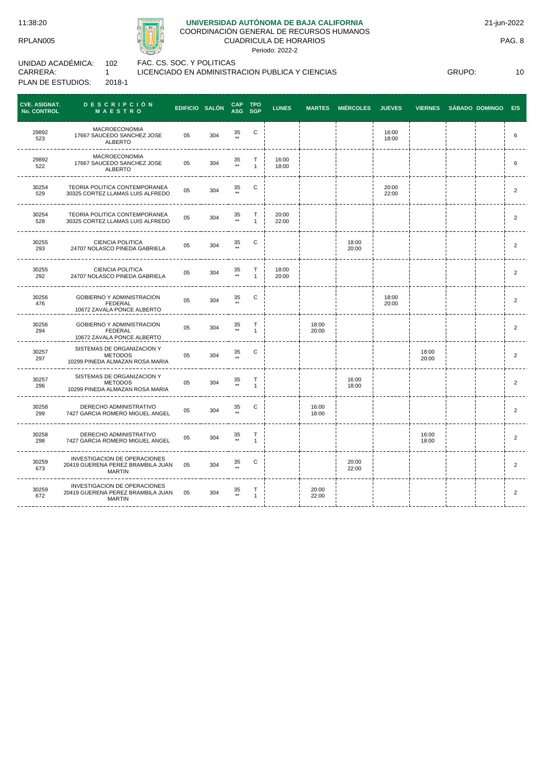30259 673

 $- - - - -$ 

30259  $672$ 

. . . . . . . . . . .

INVESTIGACION DE OPERACIONES 20419 GUERENA PEREZ BRAMBILA JUAN MARTIN

\_\_\_\_\_\_\_\_\_\_\_\_\_\_\_\_\_\_\_\_\_\_\_\_\_\_\_\_\_\_\_\_

INVESTIGACION DE OPERACIONES 20419 GUERENA PEREZ BRAMBILA JUAN MARTIN



## **UNIVERSIDAD AUTÓNOMA DE BAJA CALIFORNIA**

COORDINACIÓN GENERAL DE RECURSOS HUMANOS CUADRICULA DE HORARIOS

Periodo: 2022-2

UNIDAD ACADÉMICA: CARRERA: PLAN DE ESTUDIOS: 102 1 2018-1

FAC. CS. SOC. Y POLITICAS LICENCIADO EN ADMINISTRACION PUBLICA Y CIENCIAS

05 304

05 304 <sup>35</sup>

35

T  $\frac{1}{1}$ 

C i i 20:00

20:00<br>22:00

 $22:00$  | | | | | | 2

20:00 | | | | | | | | | | 2<br>22:00 | | | | | | | | | | | | | | | 2

CAP<br>ASG **TPO CVE. ASIGNAT. No. CONTROL D E S C R I P C I Ó N M A E S T R O EDIFICIO SALÓN CAP SGP LUNES MARTES MIÉRCOLES JUEVES VIERNES SÁBADO DOMINGO E/S** MACROECONOMIA 29892 05 304 <sup>35</sup> C i i i 16:00 17667 SAUCEDO SANCHEZ JOSE  $18:00$   $1$   $1$   $1$   $1$   $1$  6 523 ALBERTO ----------MACROECONOMIA 17667 SAUCEDO SANCHEZ JOSE 29892 <sup>05</sup> <sup>304</sup> <sup>35</sup> T 16:00<br>18:00 18:00 <sup>6</sup> 522 1 \*\* ALBERTO \_\_\_\_\_\_\_\_\_  $- - - -$ 30254 TEORIA POLITICA CONTEMPORANEA<br>30325 CORTEZ LLAMAS LUIS ALFREDO 05 304 \*\* TEORIA POLITICA CONTEMPORANEA  $\begin{array}{ccccccc}\n\text{C} & \text{I} & \text{I} & \text{20:00} \\
\text{I} & \text{I} & \text{I} & \text{22:00}\n\end{array}$  $22:00$  | | | | | 2 529 \*\* -----------------------30254 TEORIA POLITICA CONTEMPORANEA 35 T 20:00<br>22:00 1 EORIA POLITICA CONTEMPORANEA<br>30325 CORTEZ LLAMAS LUIS ALFREDO 05 304 22:00 <sup>2</sup> 528 1 30255 CIENCIA POLITICA 24707 NOLASCO PINEDA GABRIELA <sup>05</sup> <sup>304</sup> <sup>35</sup> C 18:00  $20:00$   $1$   $1$   $1$   $1$   $1$  $293$ \*\*  $- - - -$ 30255 CIENCIA POLITICA T 18:00<br>20:00 35 CIENCIA POLITICA<br>24707 NOLASCO PINEDA GABRIELA 05 304 20:00 <sup>2</sup> 292 1 ---------------------------. . . . . . . . . . . . . . 30256 GOBIERNO Y ADMINISTRACION 05 304 <sup>35</sup> C i i i 18:00  $20:00$   $1$   $1$   $1$   $1$   $2$ 476 FEDERAL 10672 ZAVALA PONCE ALBERTO  $- - - - - -$ ---------GOBIERNO Y ADMINISTRACION 30256 T 18:00<br>20:00 <sup>05</sup> <sup>304</sup> <sup>35</sup> 20:00 <sup>2</sup>  $294$ FEDERAL 10672 ZAVALA PONCE ALBERTO \*\* 1 SISTEMAS DE ORGANIZACION Y 30257 35 C i i i i i 18:00 METODOS 05 304  $20:00$   $1$   $1$   $2$ 297 10299 PINEDA ALMAZAN ROSA MARIA -----------------------------SISTEMAS DE ORGANIZACION Y 30257 T 16:00<br>18:00 **35 METODOS** 05 304  $18:00$   $1$   $1$   $1$   $1$   $1$   $1$ 1 296 10299 PINEDA ALMAZAN ROSA MARIA -----------------------DERECHO ADMINISTRATIVO 30258  $\begin{array}{ccccccc}\n\text{C} & \cdot & & & & 16:00 \\
\cdot & \cdot & & & & 18:00\n\end{array}$ 7427 GARCIA ROMERO MIGUEL ANGEL <sup>05</sup> <sup>304</sup> <sup>35</sup>  $18:00$  2 299 \*\* -------30258 DERECHO ADMINISTRATIVO T  $16:00$ <br> $18:00$  $35$  \*\* DERECHO ADMINISTRATIVO<br>7427 GARCIA ROMERO MIGUEL ANGEL 05 304  $18:00$   $1$   $1$   $1$   $2$ 298 1

GRUPO: 10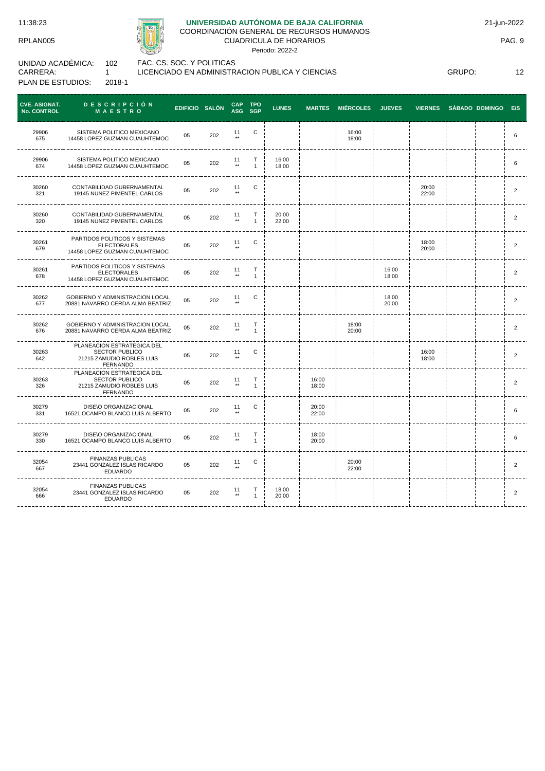

# **UNIVERSIDAD AUTÓNOMA DE BAJA CALIFORNIA**

COORDINACIÓN GENERAL DE RECURSOS HUMANOS CUADRICULA DE HORARIOS

Periodo: 2022-2

UNIDAD ACADÉMICA: CARRERA: PLAN DE ESTUDIOS: 102 1 2018-1

FAC. CS. SOC. Y POLITICAS

LICENCIADO EN ADMINISTRACION PUBLICA Y CIENCIAS

GRUPO: 12

| <b>CVE. ASIGNAT.</b><br><b>No. CONTROL</b> | <b>DESCRIPCIÓN</b><br>MAESTRO                                                                       | EDIFICIO SALÓN |     | <b>CAP</b><br>ASG SGP | <b>TPO</b>                   | <b>LUNES</b>   | <b>MARTES</b>  | <b>MIÉRCOLES</b> | <b>JUEVES</b>  | <b>VIERNES</b> | <b>SÁBADO DOMINGO</b> | E/S            |
|--------------------------------------------|-----------------------------------------------------------------------------------------------------|----------------|-----|-----------------------|------------------------------|----------------|----------------|------------------|----------------|----------------|-----------------------|----------------|
| 29906<br>675                               | SISTEMA POLITICO MEXICANO<br>14458 LOPEZ GUZMAN CUAUHTEMOC                                          | 05             | 202 | 11<br>$\star\star$    | C                            |                |                | 16:00<br>18:00   |                |                |                       | 6              |
| 29906<br>674                               | SISTEMA POLITICO MEXICANO<br>14458 LOPEZ GUZMAN CUAUHTEMOC                                          | 05             | 202 | 11<br>$\star\star$    | $\mathsf{T}$<br>$\mathbf{1}$ | 16:00<br>18:00 |                |                  |                |                |                       | 6              |
| 30260<br>321                               | CONTABILIDAD GUBERNAMENTAL<br>19145 NUNEZ PIMENTEL CARLOS                                           | 05             | 202 | 11                    | С                            |                |                |                  |                | 20:00<br>22:00 |                       | $\overline{2}$ |
| 30260<br>320                               | CONTABILIDAD GUBERNAMENTAL<br>19145 NUNEZ PIMENTEL CARLOS                                           | 05             | 202 | 11<br>$^{\star\star}$ | T<br>$\mathbf{1}$            | 20:00<br>22:00 |                |                  |                |                |                       | 2              |
| 30261<br>679                               | PARTIDOS POLITICOS Y SISTEMAS<br><b>ELECTORALES</b><br>14458 LOPEZ GUZMAN CUAUHTEMOC                | 05             | 202 | 11<br>$\star\star$    | C                            |                |                |                  |                | 18:00<br>20:00 |                       | 2              |
| 30261<br>678                               | PARTIDOS POLITICOS Y SISTEMAS<br><b>ELECTORALES</b><br>14458 LOPEZ GUZMAN CUAUHTEMOC                | 05             | 202 | 11<br>$\star\star$    | $\mathsf T$<br>$\mathbf{1}$  |                |                |                  | 16:00<br>18:00 |                |                       | $\overline{2}$ |
| 30262<br>677                               | GOBIERNO Y ADMINISTRACION LOCAL<br>20881 NAVARRO CERDA ALMA BEATRIZ                                 | 05             | 202 | 11<br>$***$           | С                            |                |                |                  | 18:00<br>20:00 |                |                       | $\overline{2}$ |
| 30262<br>676                               | GOBIERNO Y ADMINISTRACION LOCAL<br>20881 NAVARRO CERDA ALMA BEATRIZ                                 | 05             | 202 | 11<br>$\star\star$    | Т<br>$\mathbf{1}$            |                |                | 18:00<br>20:00   |                |                |                       | $\overline{2}$ |
| 30263<br>642                               | PLANEACION ESTRATEGICA DEL<br><b>SECTOR PUBLICO</b><br>21215 ZAMUDIO ROBLES LUIS<br><b>FERNANDO</b> | 05             | 202 | 11<br>$***$           | С                            |                |                |                  |                | 16:00<br>18:00 |                       | $\overline{2}$ |
| 30263<br>326                               | PLANEACION ESTRATEGICA DEL<br><b>SECTOR PUBLICO</b><br>21215 ZAMUDIO ROBLES LUIS<br><b>FERNANDO</b> | 05             | 202 | 11<br>$***$           | Т<br>$\mathbf{1}$            |                | 16:00<br>18:00 |                  |                |                |                       | $\overline{2}$ |
| 30279<br>331                               | <b>DISE\O ORGANIZACIONAL</b><br>16521 OCAMPO BLANCO LUIS ALBERTO                                    | 05             | 202 | 11                    | С                            |                | 20:00<br>22:00 |                  |                |                |                       | 6              |
| 30279<br>330                               | DISE\O ORGANIZACIONAL<br>16521 OCAMPO BLANCO LUIS ALBERTO                                           | 05             | 202 | 11<br>$\star\star$    | Т<br>$\mathbf{1}$            |                | 18:00<br>20:00 |                  |                |                |                       | 6              |
| 32054<br>667                               | <b>FINANZAS PUBLICAS</b><br>23441 GONZALEZ ISLAS RICARDO<br><b>EDUARDO</b>                          | 05             | 202 | 11                    | С                            |                |                | 20:00<br>22:00   |                |                |                       | $\overline{2}$ |
| 32054<br>666                               | <b>FINANZAS PUBLICAS</b><br>23441 GONZALEZ ISLAS RICARDO<br><b>EDUARDO</b>                          | 05             | 202 | 11<br>$\star\star$    | Т<br>$\mathbf{1}$            | 18:00<br>20:00 |                |                  |                |                |                       | $\overline{2}$ |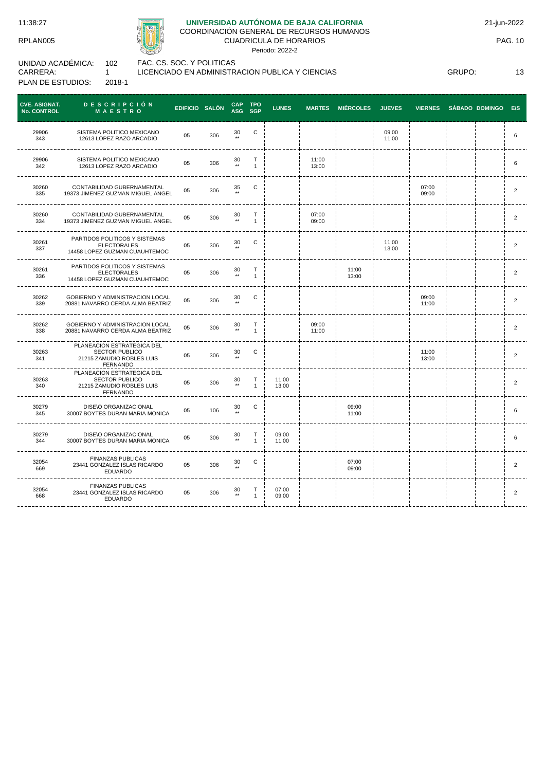

# **UNIVERSIDAD AUTÓNOMA DE BAJA CALIFORNIA**

COORDINACIÓN GENERAL DE RECURSOS HUMANOS CUADRICULA DE HORARIOS

Periodo: 2022-2

UNIDAD ACADÉMICA: CARRERA: PLAN DE ESTUDIOS: 102 1 2018-1

FAC. CS. SOC. Y POLITICAS LICENCIADO EN ADMINISTRACION PUBLICA Y CIENCIAS

GRUPO: 13

| <b>CVE. ASIGNAT.</b><br>No. CONTROL | <b>DESCRIPCIÓN</b><br><b>MAESTRO</b>                                                                | EDIFICIO SALÓN |     | <b>CAP</b><br>ASG SGP  | <b>TPO</b>                  | <b>LUNES</b>   | <b>MARTES</b>  | <b>MIÉRCOLES</b> | <b>JUEVES</b>  | <b>VIERNES</b> | SÁBADO DOMINGO E/S |                |
|-------------------------------------|-----------------------------------------------------------------------------------------------------|----------------|-----|------------------------|-----------------------------|----------------|----------------|------------------|----------------|----------------|--------------------|----------------|
| 29906<br>343                        | SISTEMA POLITICO MEXICANO<br>12613 LOPEZ RAZO ARCADIO                                               | 05             | 306 | 30                     | С                           |                |                |                  | 09:00<br>11:00 |                |                    | 6              |
| 29906<br>342                        | SISTEMA POLITICO MEXICANO<br>12613 LOPEZ RAZO ARCADIO                                               | 05             | 306 | 30<br>$\star\star$     | Т<br>$\mathbf{1}$           |                | 11:00<br>13:00 |                  |                |                |                    | 6              |
| 30260<br>335                        | CONTABILIDAD GUBERNAMENTAL<br>19373 JIMENEZ GUZMAN MIGUEL ANGEL                                     | 05             | 306 | 35                     | С                           |                |                |                  |                | 07:00<br>09:00 |                    | 2              |
| 30260<br>334                        | CONTABILIDAD GUBERNAMENTAL<br>19373 JIMENEZ GUZMAN MIGUEL ANGEL                                     | 05             | 306 | 30<br>$\star\star$     | $\mathsf T$<br>$\mathbf{1}$ |                | 07:00<br>09:00 |                  |                |                |                    | $\overline{2}$ |
| 30261<br>337                        | PARTIDOS POLITICOS Y SISTEMAS<br><b>ELECTORALES</b><br>14458 LOPEZ GUZMAN CUAUHTEMOC                | 05             | 306 | 30                     | С                           |                |                |                  | 11:00<br>13:00 |                |                    | 2              |
| 30261<br>336                        | PARTIDOS POLITICOS Y SISTEMAS<br><b>ELECTORALES</b><br>14458 LOPEZ GUZMAN CUAUHTEMOC                | 05             | 306 | 30<br>$\star\star$     | T<br>$\mathbf{1}$           |                |                | 11:00<br>13:00   |                |                |                    | $\overline{2}$ |
| 30262<br>339                        | GOBIERNO Y ADMINISTRACION LOCAL<br>20881 NAVARRO CERDA ALMA BEATRIZ                                 | 05             | 306 | 30                     | C                           |                |                |                  |                | 09:00<br>11:00 |                    | $\overline{2}$ |
| 30262<br>338                        | GOBIERNO Y ADMINISTRACION LOCAL<br>20881 NAVARRO CERDA ALMA BEATRIZ                                 | 05             | 306 | $_{\rm \ast\ast}^{30}$ | т<br>$\mathbf{1}$           |                | 09:00<br>11:00 |                  |                |                |                    | $\overline{2}$ |
| 30263<br>341                        | PLANEACION ESTRATEGICA DEL<br><b>SECTOR PUBLICO</b><br>21215 ZAMUDIO ROBLES LUIS<br><b>FERNANDO</b> | 0 <sub>5</sub> | 306 | 30                     | С                           |                |                |                  |                | 11:00<br>13:00 |                    | 2              |
| 30263<br>340                        | PLANEACION ESTRATEGICA DEL<br><b>SECTOR PUBLICO</b><br>21215 ZAMUDIO ROBLES LUIS<br><b>FERNANDO</b> | 05             | 306 | 30<br>$**$             | Т<br>$\mathbf{1}$           | 11:00<br>13:00 |                |                  |                |                |                    | $\overline{2}$ |
| 30279<br>345                        | <b>DISE\O ORGANIZACIONAL</b><br>30007 BOYTES DURAN MARIA MONICA                                     | 05             | 106 | 30                     | C                           |                |                | 09:00<br>11:00   |                |                |                    | 6              |
| 30279<br>344                        | DISE\O ORGANIZACIONAL<br>30007 BOYTES DURAN MARIA MONICA                                            | 05             | 306 | 30<br>$\star\star$     | Т<br>$\mathbf{1}$           | 09:00<br>11:00 |                |                  |                |                |                    | 6              |
| 32054<br>669                        | <b>FINANZAS PUBLICAS</b><br>23441 GONZALEZ ISLAS RICARDO<br><b>EDUARDO</b>                          | 05             | 306 | 30                     | C                           |                |                | 07:00<br>09:00   |                |                |                    | 2              |
| 32054<br>668                        | <b>FINANZAS PUBLICAS</b><br>23441 GONZALEZ ISLAS RICARDO<br><b>EDUARDO</b>                          | 05             | 306 | 30<br>$\star\star$     | Т<br>$\mathbf{1}$           | 07:00<br>09:00 |                |                  |                |                |                    | $\overline{2}$ |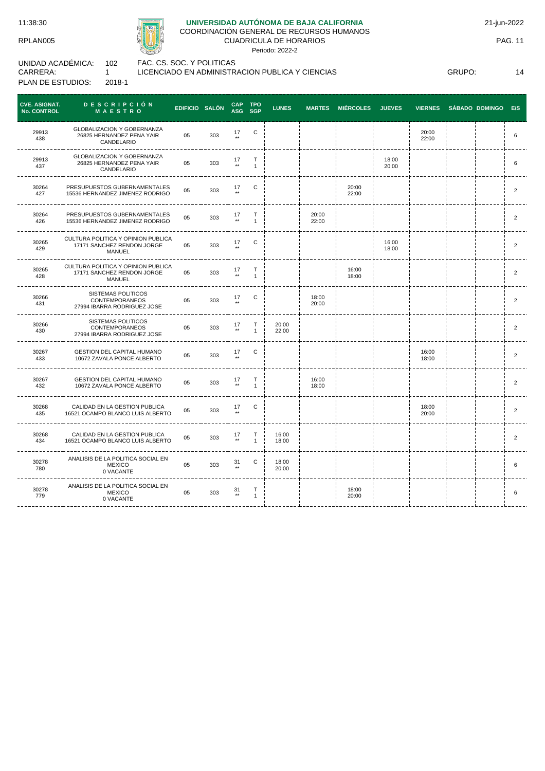

# **UNIVERSIDAD AUTÓNOMA DE BAJA CALIFORNIA**

COORDINACIÓN GENERAL DE RECURSOS HUMANOS

CUADRICULA DE HORARIOS Periodo: 2022-2

UNIDAD ACADÉMICA: CARRERA: PLAN DE ESTUDIOS: 102 1 2018-1

FAC. CS. SOC. Y POLITICAS

LICENCIADO EN ADMINISTRACION PUBLICA Y CIENCIAS

GRUPO: 14

| <b>CVE. ASIGNAT.</b><br>No. CONTROL | <b>DESCRIPCIÓN</b><br><b>MAESTRO</b>                                              | EDIFICIO SALÓN |     | <b>CAP</b><br>ASG SGP | <b>TPO</b>             | <b>LUNES</b>   | <b>MARTES</b>  | <b>MIÉRCOLES</b> | <b>JUEVES</b>  | <b>VIERNES</b> | <b>SÁBADO DOMINGO</b> | E/S            |
|-------------------------------------|-----------------------------------------------------------------------------------|----------------|-----|-----------------------|------------------------|----------------|----------------|------------------|----------------|----------------|-----------------------|----------------|
| 29913<br>438                        | GLOBALIZACION Y GOBERNANZA<br>26825 HERNANDEZ PENA YAIR<br>CANDELARIO             | 05             | 303 | 17<br>$\star\star$    | C                      |                |                |                  |                | 20:00<br>22:00 |                       | 6              |
| 29913<br>437                        | <b>GLOBALIZACION Y GOBERNANZA</b><br>26825 HERNANDEZ PENA YAIR<br>CANDELARIO      | 05             | 303 | 17<br>$\star\star$    | $\top$<br>$\mathbf{1}$ |                |                |                  | 18:00<br>20:00 |                |                       | 6              |
| 30264<br>427                        | PRESUPUESTOS GUBERNAMENTALES<br>15536 HERNANDEZ JIMENEZ RODRIGO                   | 05             | 303 | 17<br>$***$           | С                      |                |                | 20:00<br>22:00   |                |                |                       | $\overline{2}$ |
| 30264<br>426                        | PRESUPUESTOS GUBERNAMENTALES<br>15536 HERNANDEZ JIMENEZ RODRIGO                   | 05             | 303 | 17<br>$\star\star$    | Т<br>$\mathbf{1}$      |                | 20:00<br>22:00 |                  |                |                |                       | $\overline{2}$ |
| 30265<br>429                        | CULTURA POLITICA Y OPINION PUBLICA<br>17171 SANCHEZ RENDON JORGE<br>MANUEL        | 05             | 303 | 17                    | С                      |                |                |                  | 16:00<br>18:00 |                |                       | $\overline{2}$ |
| 30265<br>428                        | CULTURA POLITICA Y OPINION PUBLICA<br>17171 SANCHEZ RENDON JORGE<br><b>MANUEL</b> | 05             | 303 | 17<br>$\star\star$    | Т<br>$\mathbf{1}$      |                |                | 16:00<br>18:00   |                |                |                       | $\overline{2}$ |
| 30266<br>431                        | <b>SISTEMAS POLITICOS</b><br>CONTEMPORANEOS<br>27994 IBARRA RODRIGUEZ JOSE        | 05             | 303 | 17                    | С                      |                | 18:00<br>20:00 |                  |                |                |                       | 2              |
| 30266<br>430                        | <b>SISTEMAS POLITICOS</b><br>CONTEMPORANEOS<br>27994 IBARRA RODRIGUEZ JOSE        | 05             | 303 | 17<br>$\star\star$    | Т<br>$\mathbf{1}$      | 20:00<br>22:00 |                |                  |                |                |                       | $\overline{2}$ |
| 30267<br>433                        | <b>GESTION DEL CAPITAL HUMANO</b><br>10672 ZAVALA PONCE ALBERTO                   | 05             | 303 | 17                    | С                      |                |                |                  |                | 16:00<br>18:00 |                       | $\overline{2}$ |
| 30267<br>432                        | <b>GESTION DEL CAPITAL HUMANO</b><br>10672 ZAVALA PONCE ALBERTO                   | 05             | 303 | $\frac{17}{**}$       | Т<br>$\mathbf{1}$      |                | 16:00<br>18:00 |                  |                |                |                       | $\overline{2}$ |
| 30268<br>435                        | CALIDAD EN LA GESTION PUBLICA<br>16521 OCAMPO BLANCO LUIS ALBERTO                 | 05             | 303 | 17                    | C                      |                |                |                  |                | 18:00<br>20:00 |                       | $\overline{2}$ |
| 30268<br>434                        | CALIDAD EN LA GESTION PUBLICA<br>16521 OCAMPO BLANCO LUIS ALBERTO                 | 05             | 303 | 17                    | т<br>1                 | 16:00<br>18:00 |                |                  |                |                |                       | $\overline{2}$ |
| 30278<br>780                        | ANALISIS DE LA POLITICA SOCIAL EN<br><b>MEXICO</b><br>0 VACANTE                   | 05             | 303 | 31                    | C                      | 18:00<br>20:00 |                |                  |                |                |                       | 6              |
| 30278<br>779                        | ANALISIS DE LA POLITICA SOCIAL EN<br><b>MEXICO</b><br>0 VACANTE                   | 05             | 303 | 31<br>$^{\star\star}$ | Т<br>$\mathbf{1}$      |                |                | 18:00<br>20:00   |                |                |                       | 6              |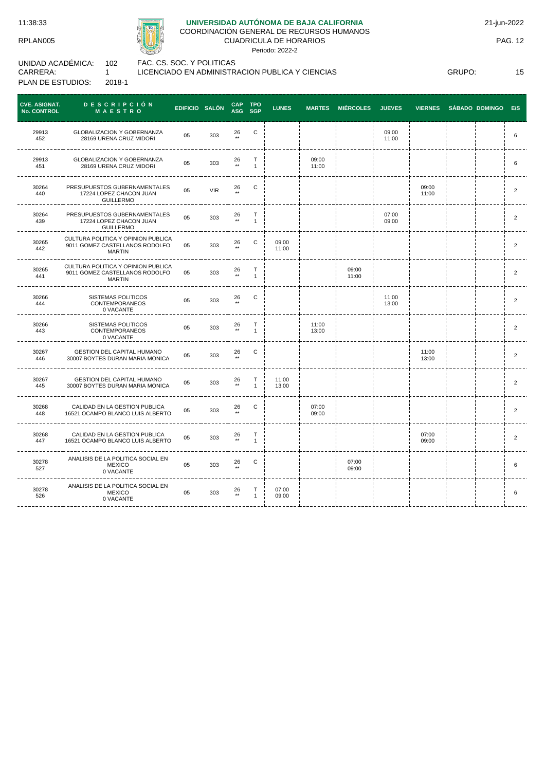

# **UNIVERSIDAD AUTÓNOMA DE BAJA CALIFORNIA**

COORDINACIÓN GENERAL DE RECURSOS HUMANOS CUADRICULA DE HORARIOS

Periodo: 2022-2

UNIDAD ACADÉMICA: CARRERA: PLAN DE ESTUDIOS: 102 1 2018-1 FAC. CS. SOC. Y POLITICAS LICENCIADO EN ADMINISTRACION PUBLICA Y CIENCIAS

GRUPO: 15

| <b>CVE. ASIGNAT.</b><br>No. CONTROL | <b>DESCRIPCIÓN</b><br><b>MAESTRO</b>                                                  | EDIFICIO SALÓN |            | <b>CAP</b>            | <b>TPO</b><br>ASG SGP | <b>LUNES</b>   | <b>MARTES</b>  | <b>MIÉRCOLES</b> | <b>JUEVES</b>  | <b>VIERNES</b> | <b>SÁBADO DOMINGO</b> | E/S                     |
|-------------------------------------|---------------------------------------------------------------------------------------|----------------|------------|-----------------------|-----------------------|----------------|----------------|------------------|----------------|----------------|-----------------------|-------------------------|
| 29913<br>452                        | <b>GLOBALIZACION Y GOBERNANZA</b><br>28169 URENA CRUZ MIDORI                          | 05             | 303        | 26<br>$\star\star$    | C                     |                |                |                  | 09:00<br>11:00 |                |                       | 6                       |
| 29913<br>451                        | <b>GLOBALIZACION Y GOBERNANZA</b><br>28169 URENA CRUZ MIDORI                          | 05             | 303        | 26<br>$^{\star\star}$ | т<br>$\mathbf{1}$     |                | 09:00<br>11:00 |                  |                |                |                       | 6                       |
| 30264<br>440                        | PRESUPUESTOS GUBERNAMENTALES<br>17224 LOPEZ CHACON JUAN<br><b>GUILLERMO</b>           | 05             | <b>VIR</b> | 26<br>$\star\star$    | С                     |                |                |                  |                | 09:00<br>11:00 |                       | $\overline{2}$          |
| 30264<br>439                        | PRESUPUESTOS GUBERNAMENTALES<br>17224 LOPEZ CHACON JUAN<br><b>GUILLERMO</b>           | 05             | 303        | 26<br>$\star\star$    | Т<br>$\mathbf{1}$     |                |                |                  | 07:00<br>09:00 |                |                       | $\overline{\mathbf{c}}$ |
| 30265<br>442                        | CULTURA POLITICA Y OPINION PUBLICA<br>9011 GOMEZ CASTELLANOS RODOLFO<br><b>MARTIN</b> | 05             | 303        | 26<br>$***$           | С                     | 09:00<br>11:00 |                |                  |                |                |                       | $\overline{2}$          |
| 30265<br>441                        | CULTURA POLITICA Y OPINION PUBLICA<br>9011 GOMEZ CASTELLANOS RODOLFO<br><b>MARTIN</b> | 05             | 303        | 26<br>$^{\star\star}$ | Τ<br>$\mathbf{1}$     |                |                | 09:00<br>11:00   |                |                |                       | $\overline{\mathbf{c}}$ |
| 30266<br>444                        | <b>SISTEMAS POLITICOS</b><br>CONTEMPORANEOS<br>0 VACANTE                              | 05             | 303        | 26                    | С                     |                |                |                  | 11:00<br>13:00 |                |                       | $\overline{c}$          |
| 30266<br>443                        | SISTEMAS POLITICOS<br><b>CONTEMPORANEOS</b><br>0 VACANTE                              | 05             | 303        | 26<br>$\star\star$    | т<br>$\mathbf{1}$     |                | 11:00<br>13:00 |                  |                |                |                       | $\overline{2}$          |
| 30267<br>446                        | <b>GESTION DEL CAPITAL HUMANO</b><br>30007 BOYTES DURAN MARIA MONICA                  | 05             | 303        | 26                    | С                     |                |                |                  |                | 11:00<br>13:00 |                       | $\overline{2}$          |
| 30267<br>445                        | <b>GESTION DEL CAPITAL HUMANO</b><br>30007 BOYTES DURAN MARIA MONICA                  | 05             | 303        | 26<br>$\star\star$    | т<br>$\mathbf{1}$     | 11:00<br>13:00 |                |                  |                |                |                       | $\overline{2}$          |
| 30268<br>448                        | CALIDAD EN LA GESTION PUBLICA<br>16521 OCAMPO BLANCO LUIS ALBERTO                     | 05             | 303        | 26<br>$\star\star$    | С                     |                | 07:00<br>09:00 |                  |                |                |                       | $\overline{2}$          |
| 30268<br>447                        | CALIDAD EN LA GESTION PUBLICA<br>16521 OCAMPO BLANCO LUIS ALBERTO                     | 05             | 303        | 26<br>$\star\star$    | Т<br>$\mathbf{1}$     |                |                |                  |                | 07:00<br>09:00 |                       | $\overline{2}$          |
| 30278<br>527                        | ANALISIS DE LA POLITICA SOCIAL EN<br><b>MEXICO</b><br>0 VACANTE                       | 05             | 303        | 26<br>$\star\star$    | C                     |                |                | 07:00<br>09:00   |                |                |                       | 6                       |
| 30278<br>526                        | ANALISIS DE LA POLITICA SOCIAL EN<br><b>MEXICO</b><br>0 VACANTE                       | 05             | 303        | 26<br>$\star\star$    | Т<br>$\mathbf{1}$     | 07:00<br>09:00 |                |                  |                |                |                       | 6                       |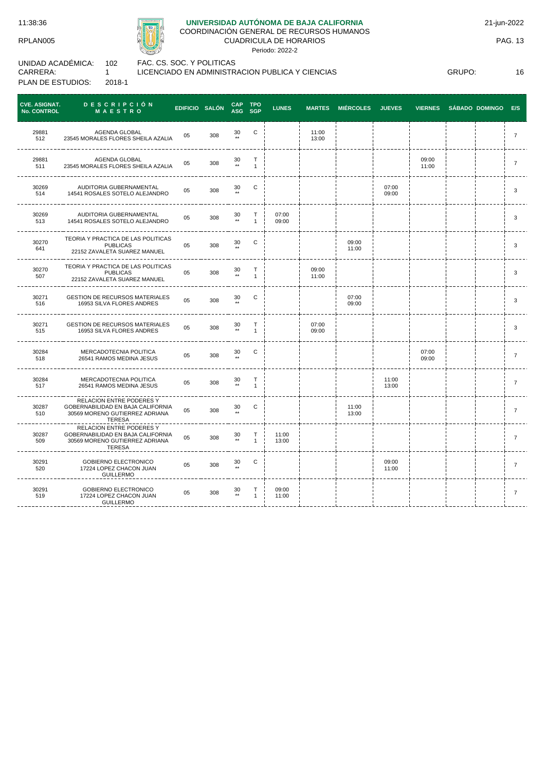

# **UNIVERSIDAD AUTÓNOMA DE BAJA CALIFORNIA**

COORDINACIÓN GENERAL DE RECURSOS HUMANOS CUADRICULA DE HORARIOS

Periodo: 2022-2

UNIDAD ACADÉMICA: CARRERA: PLAN DE ESTUDIOS: 102 1 2018-1

FAC. CS. SOC. Y POLITICAS LICENCIADO EN ADMINISTRACION PUBLICA Y CIENCIAS

GRUPO: 16

| <b>CVE. ASIGNAT.</b><br><b>No. CONTROL</b> | <b>DESCRIPCIÓN</b><br><b>MAESTRO</b>                                                                             | <b>EDIFICIO SALÓN</b> |     | <b>CAP</b><br>ASG     | <b>TPO</b><br><b>SGP</b>     | <b>LUNES</b>   | <b>MARTES</b>  | <b>MIÉRCOLES</b> | <b>JUEVES</b>  | <b>VIERNES</b> | SÁBADO DOMINGO | E/S            |
|--------------------------------------------|------------------------------------------------------------------------------------------------------------------|-----------------------|-----|-----------------------|------------------------------|----------------|----------------|------------------|----------------|----------------|----------------|----------------|
| 29881<br>512                               | AGENDA GLOBAL<br>23545 MORALES FLORES SHEILA AZALIA                                                              | 05                    | 308 | 30<br>$\star\star$    | $\mathbf C$                  |                | 11:00<br>13:00 |                  |                |                |                | $\overline{7}$ |
| 29881<br>511                               | AGENDA GLOBAL<br>23545 MORALES FLORES SHEILA AZALIA                                                              | 05                    | 308 | 30<br>$^{\star\star}$ | T<br>$\mathbf{1}$            |                |                |                  |                | 09:00<br>11:00 |                | $\overline{7}$ |
| 30269<br>514                               | AUDITORIA GUBERNAMENTAL<br>14541 ROSALES SOTELO ALEJANDRO                                                        | 05                    | 308 | 30<br>$\star\star$    | $\mathbf C$                  |                |                |                  | 07:00<br>09:00 |                |                | 3              |
| 30269<br>513                               | AUDITORIA GUBERNAMENTAL<br>14541 ROSALES SOTELO ALEJANDRO                                                        | 05                    | 308 | 30<br>$\star\star$    | $\mathsf{T}$<br>$\mathbf{1}$ | 07:00<br>09:00 |                |                  |                |                |                | 3              |
| 30270<br>641                               | TEORIA Y PRACTICA DE LAS POLITICAS<br><b>PUBLICAS</b><br>22152 ZAVALETA SUAREZ MANUEL                            | 05                    | 308 | 30<br>$\star\star$    | С                            |                |                | 09:00<br>11:00   |                |                |                | 3              |
| 30270<br>507                               | TEORIA Y PRACTICA DE LAS POLITICAS<br><b>PUBLICAS</b><br>22152 ZAVALETA SUAREZ MANUEL                            | 05                    | 308 | 30<br>$\star\star$    | $\mathsf{T}$<br>$\mathbf{1}$ |                | 09:00<br>11:00 |                  |                |                |                | 3              |
| 30271<br>516                               | <b>GESTION DE RECURSOS MATERIALES</b><br>16953 SILVA FLORES ANDRES                                               | 05                    | 308 | 30<br>$\star\star$    | С                            |                |                | 07:00<br>09:00   |                |                |                | 3              |
| 30271<br>515                               | <b>GESTION DE RECURSOS MATERIALES</b><br>16953 SILVA FLORES ANDRES                                               | 05                    | 308 | 30<br>$\star\star$    | $\mathsf{T}$<br>$\mathbf{1}$ |                | 07:00<br>09:00 |                  |                |                |                | 3              |
| 30284<br>518                               | MERCADOTECNIA POLITICA<br>26541 RAMOS MEDINA JESUS                                                               | 05                    | 308 | 30<br>$+ +$           | $\mathbf C$                  |                |                |                  |                | 07:00<br>09:00 |                | $\overline{7}$ |
| 30284<br>517                               | MERCADOTECNIA POLITICA<br>26541 RAMOS MEDINA JESUS                                                               | 05                    | 308 | 30<br>$\star\star$    | $\mathsf T$<br>$\mathbf{1}$  |                |                |                  | 11:00<br>13:00 |                |                | $\overline{7}$ |
| 30287<br>510                               | RELACION ENTRE PODERES Y<br>GOBERNABILIDAD EN BAJA CALIFORNIA<br>30569 MORENO GUTIERREZ ADRIANA<br><b>TERESA</b> | 05                    | 308 | 30<br>$+ +$           | С                            |                |                | 11:00<br>13:00   |                |                |                | $\overline{7}$ |
| 30287<br>509                               | RELACION ENTRE PODERES Y<br>GOBERNABILIDAD EN BAJA CALIFORNIA<br>30569 MORENO GUTIERREZ ADRIANA<br><b>TERESA</b> | 05                    | 308 | 30<br>$\star\star$    | Т<br>$\mathbf{1}$            | 11:00<br>13:00 |                |                  |                |                |                | $\overline{7}$ |
| 30291<br>520                               | GOBIERNO ELECTRONICO<br>17224 LOPEZ CHACON JUAN<br><b>GUILLERMO</b>                                              | 05                    | 308 | 30<br>$***$           | С                            |                |                |                  | 09:00<br>11:00 |                |                | $\overline{7}$ |
| 30291<br>519                               | GOBIERNO ELECTRONICO<br>17224 LOPEZ CHACON JUAN<br><b>GUILLERMO</b>                                              | 05                    | 308 | 30<br>$^{\star\star}$ | т<br>$\mathbf{1}$            | 09:00<br>11:00 |                |                  |                |                |                | $\overline{7}$ |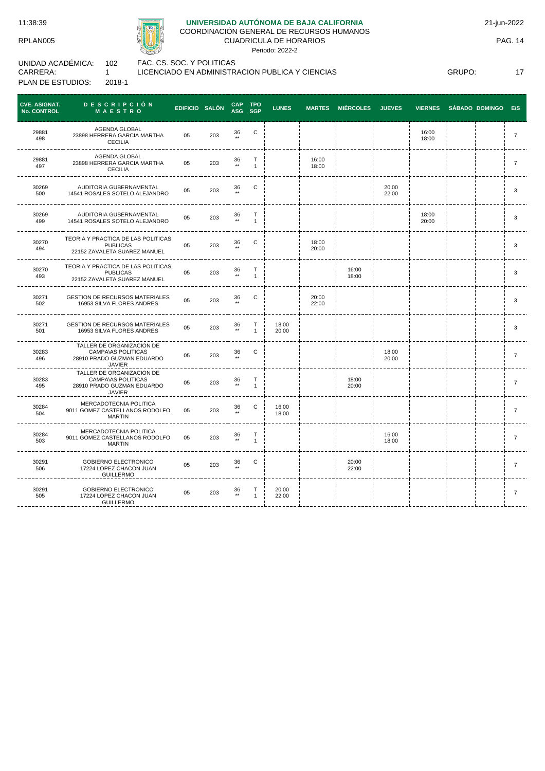

# **UNIVERSIDAD AUTÓNOMA DE BAJA CALIFORNIA**

COORDINACIÓN GENERAL DE RECURSOS HUMANOS CUADRICULA DE HORARIOS

Periodo: 2022-2

UNIDAD ACADÉMICA: CARRERA: PLAN DE ESTUDIOS: 102 1 2018-1

FAC. CS. SOC. Y POLITICAS

LICENCIADO EN ADMINISTRACION PUBLICA Y CIENCIAS

GRUPO: 17

| <b>CVE. ASIGNAT.</b><br><b>No. CONTROL</b> | <b>DESCRIPCIÓN</b><br>MAESTRO                                                                  | EDIFICIO SALÓN |     | <b>CAP</b>            | <b>TPO</b><br>ASG SGP | <b>LUNES</b>   | <b>MARTES</b>  | <b>MIÉRCOLES</b> | <b>JUEVES</b>  | <b>VIERNES</b> | SÁBADO DOMINGO E/S |                |
|--------------------------------------------|------------------------------------------------------------------------------------------------|----------------|-----|-----------------------|-----------------------|----------------|----------------|------------------|----------------|----------------|--------------------|----------------|
| 29881<br>498                               | AGENDA GLOBAL<br>23898 HERRERA GARCIA MARTHA<br><b>CECILIA</b>                                 | 05             | 203 | 36<br>$***$           | $\mathbf C$           |                |                |                  |                | 16:00<br>18:00 |                    | $\overline{7}$ |
| 29881<br>497                               | AGENDA GLOBAL<br>23898 HERRERA GARCIA MARTHA<br><b>CECILIA</b>                                 | 05             | 203 | 36<br>$\star\star$    | T<br>$\mathbf{1}$     |                | 16:00<br>18:00 |                  |                |                |                    | 7              |
| 30269<br>500                               | AUDITORIA GUBERNAMENTAL<br>14541 ROSALES SOTELO ALEJANDRO                                      | 05             | 203 | 36<br>$\star\star$    | C                     |                |                |                  | 20:00<br>22:00 |                |                    | 3              |
| 30269<br>499                               | AUDITORIA GUBERNAMENTAL<br>14541 ROSALES SOTELO ALEJANDRO                                      | 05             | 203 | 36<br>$^{\star\star}$ | Т<br>$\mathbf{1}$     |                |                |                  |                | 18:00<br>20:00 |                    | 3              |
| 30270<br>494                               | TEORIA Y PRACTICA DE LAS POLITICAS<br><b>PUBLICAS</b><br>22152 ZAVALETA SUAREZ MANUEL          | 05             | 203 | 36                    | С                     |                | 18:00<br>20:00 |                  |                |                |                    | 3              |
| 30270<br>493                               | TEORIA Y PRACTICA DE LAS POLITICAS<br><b>PUBLICAS</b><br>22152 ZAVALETA SUAREZ MANUEL          | 05             | 203 | 36<br>$\star\star$    | Т<br>$\mathbf{1}$     |                |                | 16:00<br>18:00   |                |                |                    | 3              |
| 30271<br>502                               | <b>GESTION DE RECURSOS MATERIALES</b><br>16953 SILVA FLORES ANDRES                             | 05             | 203 | 36                    | С                     |                | 20:00<br>22:00 |                  |                |                |                    | 3              |
| 30271<br>501                               | <b>GESTION DE RECURSOS MATERIALES</b><br>16953 SILVA FLORES ANDRES                             | 05             | 203 | 36<br>$\star\star$    | Т<br>$\mathbf{1}$     | 18:00<br>20:00 |                |                  |                |                |                    | 3              |
| 30283<br>496                               | TALLER DE ORGANIZACION DE<br><b>CAMPA\AS POLITICAS</b><br>28910 PRADO GUZMAN EDUARDO<br>JAVIER | 05             | 203 | 36                    | $\mathsf C$           |                |                |                  | 18:00<br>20:00 |                |                    | $\overline{7}$ |
| 30283<br>495                               | TALLER DE ORGANIZACION DE<br>CAMPA\AS POLITICAS<br>28910 PRADO GUZMAN EDUARDO<br>JAVIER        | 05             | 203 | 36<br>$\star\star$    | Т<br>$\mathbf{1}$     |                |                | 18:00<br>20:00   |                |                |                    | $\overline{7}$ |
| 30284<br>504                               | MERCADOTECNIA POLITICA<br>9011 GOMEZ CASTELLANOS RODOLFO<br>MARTIN                             | 05             | 203 | 36                    | C                     | 16:00<br>18:00 |                |                  |                |                |                    | $\overline{7}$ |
| 30284<br>503                               | MERCADOTECNIA POLITICA<br>9011 GOMEZ CASTELLANOS RODOLFO<br><b>MARTIN</b>                      | 05             | 203 | 36<br>$\star\star$    | Т<br>$\mathbf{1}$     |                |                |                  | 16:00<br>18:00 |                |                    | $\overline{7}$ |
| 30291<br>506                               | GOBIERNO ELECTRONICO<br>17224 LOPEZ CHACON JUAN<br><b>GUILLERMO</b>                            | 05             | 203 | 36                    | С                     |                |                | 20:00<br>22:00   |                |                |                    | $\overline{7}$ |
| 30291<br>505                               | GOBIERNO ELECTRONICO<br>17224 LOPEZ CHACON JUAN<br><b>GUILLERMO</b>                            | 05             | 203 | 36                    | т<br>$\mathbf{1}$     | 20:00<br>22:00 |                |                  |                |                |                    | $\overline{7}$ |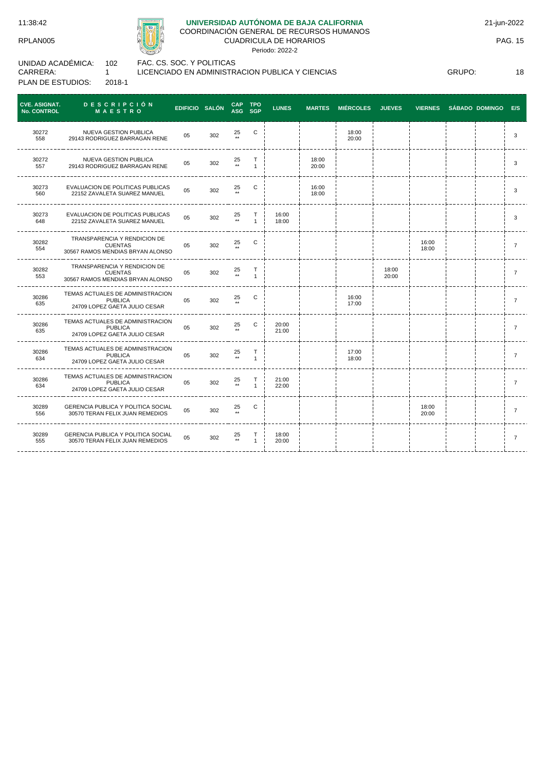11:38:42

RPLAN005

30289 555

<u>---------</u>



GERENCIA PUBLICA Y POLITICA SOCIAL 30570 TERAN FELIX JUAN REMEDIOS <sup>05</sup> <sup>302</sup> <sup>25</sup>

\_\_\_\_\_\_\_\_\_\_\_\_\_\_\_\_\_\_\_\_\_\_\_\_\_\_\_\_\_\_\_

### **UNIVERSIDAD AUTÓNOMA DE BAJA CALIFORNIA**

COORDINACIÓN GENERAL DE RECURSOS HUMANOS

CUADRICULA DE HORARIOS Periodo: 2022-2

UNIDAD ACADÉMICA: CARRERA: PLAN DE ESTUDIOS: 102 1 2018-1

FAC. CS. SOC. Y POLITICAS LICENCIADO EN ADMINISTRACION PUBLICA Y CIENCIAS

CAP<br>ASG **TPO CVE. ASIGNAT. No. CONTROL D E S C R I P C I Ó N M A E S T R O EDIFICIO SALÓN CAP SGP LUNES MARTES MIÉRCOLES JUEVES VIERNES SÁBADO DOMINGO E/S** 30272 NUEVA GESTION PUBLICA  $25 \atop \star \star$ C | | | 18:00 NUEVA GESTION PUBLICA<br>29143 RODRIGUEZ BARRAGAN RENE 05 302 20:00 <sup>3</sup> 558 ---------30272 NUEVA GESTION PUBLICA 125 NUEVA GESTION PUBLICA<br>29143 RODRIGUEZ BARRAGAN RENE  $^{05}$  302  $^{25}$ T 18:00<br>20:00 20:00 <sup>3</sup> 557 1 \*\* ----- $\frac{1}{2}$ 30273  $\begin{array}{ccc} C & | & | & 16:00 \\ | & | & | & 18:00 \end{array}$ EVALUACION DE POLITICAS PUBLICAS 22152 ZAVALETA SUAREZ MANUEL <sup>05</sup> <sup>302</sup> <sup>25</sup>  $18:00$   $1$   $1$   $1$   $1$   $1$   $1$   $1$ 560 \*\* -------------------------------------------------30273 EVALUACION DE POLITICAS PUBLICAS T 16:00  $^{25}_{\ddots}$ VALUACION DE POLITICAS PUBLICAS<br>22152 ZAVALETA SUAREZ MANUEL 05 302  $18:00$   $1$   $1$   $1$   $1$   $1$   $1$   $1$   $1$   $1$ 648 1 <u>. . . . . .</u> TRANSPARENCIA Y RENDICION DE 30282 <sup>05</sup> <sup>302</sup> <sup>25</sup> C i i i i i 16:00  $\begin{array}{ccccccc} 16:00 & | & | & | & | & \ 18:00 & | & | & | & \ \end{array}$ CUENTAS 554 \*\* 30567 RAMOS MENDIAS BRYAN ALONSO ---------------TRANSPARENCIA Y RENDICION DE 30282 T 18:00<br>20:00 25 CUENTAS 05 302  $20:00$   $1$   $1$   $1$   $1$   $1$ 553 1 30567 RAMOS MENDIAS BRYAN ALONSO ------------------------------------------. . . . . . . . . . . . . . . -----TEMAS ACTUALES DE ADMINISTRACION 30286 C | | | 16:00<br>| | | | 16:00<br>| | | | | 17:00 05 302  $\frac{25}{**}$ PUBLICA  $17:00$   $1$   $1$   $1$   $1$   $1$   $1$ 635 24709 LOPEZ GAETA JULIO CESAR \_\_\_\_\_\_\_\_\_\_\_\_\_\_ TEMAS ACTUALES DE ADMINISTRACION 30286  $C = \begin{bmatrix} 20:00 \\ 21:00 \end{bmatrix}$ <sup>05</sup> <sup>302</sup> <sup>25</sup> PUBLICA 21:00 <sup>7</sup>  $635$ \*\* 24709 LOPEZ GAETA JULIO CESAR . . . . . . . . . . . . . . . . . . . . TEMAS ACTUALES DE ADMINISTRACION 30286 25 T 17:00<br>18:00 PUBLICA 05 302  $18:00$   $1$   $1$   $1$   $1$   $1$   $1$ 634 1 24709 LOPEZ GAETA JULIO CESAR ------TEMAS ACTUALES DE ADMINISTRACION 30286 T 21:00 25 **PUBLICA** 05 302 22:00 <sup>7</sup> 634 1 24709 LOPEZ GAETA JULIO CESAR --------30289 GERENCIA PUBLICA Y POLITICA SOCIAL GERENCIA PUBLICA Y POLITICA SOCIAL 05 302 25<br>30570 TERAN FELIX JUAN REMEDIOS 05 302 \*\* C i i i i i 18:00  $18:00$   $\begin{array}{ccc} 1 & \cdot & \cdot & \cdot \\ \cdot & \cdot & \cdot & \cdot \\ 20:00 & \cdot & \cdot & \cdot \end{array}$  7  $556$ \*\*

> $25$ T 1

 $- - - - - - -$ 

18:00<br>20:00

20:00 <sup>7</sup>

PAG. 15

GRUPO: 18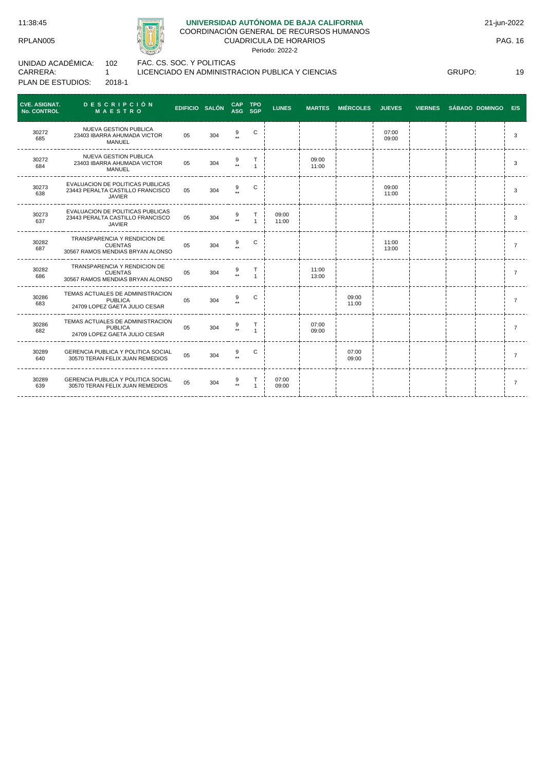

# **UNIVERSIDAD AUTÓNOMA DE BAJA CALIFORNIA**

COORDINACIÓN GENERAL DE RECURSOS HUMANOS CUADRICULA DE HORARIOS

Periodo: 2022-2

| UNIDAD ACADÉMICA: | 102    |
|-------------------|--------|
| CARRERA:          |        |
| PLAN DE ESTUDIOS: | 2018-1 |

FAC. CS. SOC. Y POLITICAS

LICENCIADO EN ADMINISTRACION PUBLICA Y CIENCIAS

GRUPO: 19

| <b>CVE. ASIGNAT.</b><br>No. CONTROL | <b>DESCRIPCIÓN</b><br><b>MAESTRO</b>                                                  | EDIFICIO SALÓN |     | CAP TPO<br>ASG SGP   |                | <b>LUNES</b>   |                | MARTES MIÉRCOLES JUEVES |                | VIERNES SÁBADO DOMINGO E/S |  |                |
|-------------------------------------|---------------------------------------------------------------------------------------|----------------|-----|----------------------|----------------|----------------|----------------|-------------------------|----------------|----------------------------|--|----------------|
| 30272<br>685                        | <b>NUEVA GESTION PUBLICA</b><br>23403 IBARRA AHUMADA VICTOR<br>MANUEL                 | 05             | 304 | 9                    | C              |                |                |                         | 07:00<br>09:00 |                            |  | 3              |
| 30272<br>684                        | <b>NUEVA GESTION PUBLICA</b><br>23403 IBARRA AHUMADA VICTOR<br>MANUEL                 | 05             | 304 |                      | $\overline{1}$ |                | 09:00<br>11:00 |                         |                |                            |  | 3              |
| 30273<br>638                        | EVALUACION DE POLITICAS PUBLICAS<br>23443 PERALTA CASTILLO FRANCISCO<br><b>JAVIER</b> | 05             | 304 |                      | C              |                |                |                         | 09:00<br>11:00 |                            |  | 3              |
| 30273<br>637                        | EVALUACION DE POLITICAS PUBLICAS<br>23443 PERALTA CASTILLO FRANCISCO<br><b>JAVIER</b> | 05             | 304 | $+ +$                | T              | 09:00<br>11:00 |                |                         |                |                            |  | 3              |
| 30282<br>687                        | TRANSPARENCIA Y RENDICION DE<br><b>CUENTAS</b><br>30567 RAMOS MENDIAS BRYAN ALONSO    | 05             | 304 | 9                    | C              |                |                |                         | 11:00<br>13:00 |                            |  | $\overline{7}$ |
| 30282<br>686                        | TRANSPARENCIA Y RENDICION DE<br><b>CUENTAS</b><br>30567 RAMOS MENDIAS BRYAN ALONSO    | 05             | 304 | $\ddot{\phantom{0}}$ | т              |                | 11:00<br>13:00 |                         |                |                            |  | $\overline{7}$ |
| 30286<br>683                        | TEMAS ACTUALES DE ADMINISTRACION<br><b>PUBLICA</b><br>24709 LOPEZ GAETA JULIO CESAR   | 05             | 304 | 9                    | C              |                |                | 09:00<br>11:00          |                |                            |  | $\overline{7}$ |
| 30286<br>682                        | TEMAS ACTUALES DE ADMINISTRACION<br><b>PUBLICA</b><br>24709 LOPEZ GAETA JULIO CESAR   | 05             | 304 | $\frac{9}{11}$       |                |                | 07:00<br>09:00 |                         |                |                            |  | $\overline{7}$ |
| 30289<br>640                        | <b>GERENCIA PUBLICA Y POLITICA SOCIAL</b><br>30570 TERAN FELIX JUAN REMEDIOS          | 0 <sub>5</sub> | 304 | 9                    | С              |                |                | 07:00<br>09:00          |                |                            |  | $\overline{7}$ |
| 30289<br>639                        | <b>GERENCIA PUBLICA Y POLITICA SOCIAL</b><br>30570 TERAN FELIX JUAN REMEDIOS          | 05             | 304 | $\frac{9}{11}$       | $\mathbf{1}$   | 07:00<br>09:00 |                |                         |                |                            |  |                |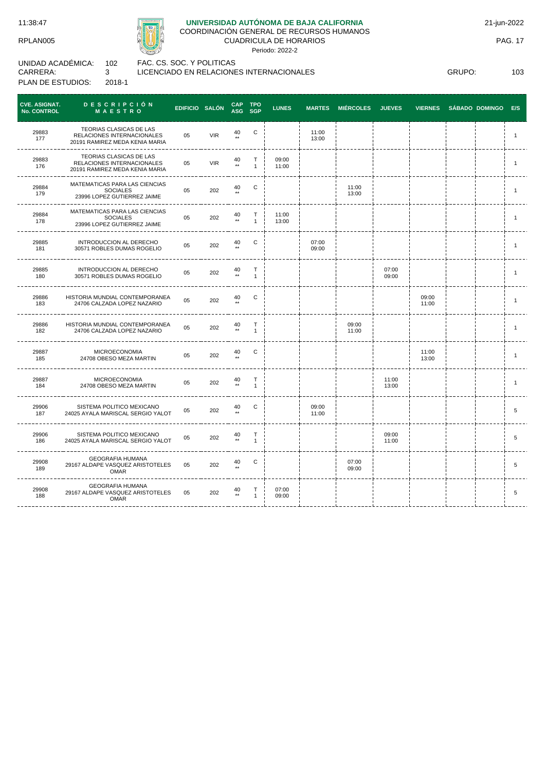11:38:47

RPLAN005



# **UNIVERSIDAD AUTÓNOMA DE BAJA CALIFORNIA**

COORDINACIÓN GENERAL DE RECURSOS HUMANOS

CUADRICULA DE HORARIOS

Periodo: 2022-2

UNIDAD ACADÉMICA: CARRERA: PLAN DE ESTUDIOS: 102 3 2018-1

FAC. CS. SOC. Y POLITICAS LICENCIADO EN RELACIONES INTERNACIONALES

GRUPO: 103

| <b>CVE. ASIGNAT.</b><br>No. CONTROL | <b>DESCRIPCIÓN</b><br>MAESTRO                                                           | EDIFICIO SALÓN |            | <b>CAP</b><br>ASG SGP  | <b>TPO</b>             | <b>LUNES</b>   | <b>MARTES</b>  | <b>MIÉRCOLES</b> | <b>JUEVES</b>  | <b>VIERNES</b> | <b>SÁBADO DOMINGO</b> | E/S            |
|-------------------------------------|-----------------------------------------------------------------------------------------|----------------|------------|------------------------|------------------------|----------------|----------------|------------------|----------------|----------------|-----------------------|----------------|
| 29883<br>177                        | TEORIAS CLASICAS DE LAS<br>RELACIONES INTERNACIONALES<br>20191 RAMIREZ MEDA KENIA MARIA | 05             | <b>VIR</b> | 40<br>$***$            | C                      |                | 11:00<br>13:00 |                  |                |                |                       | $\mathbf{1}$   |
| 29883<br>176                        | TEORIAS CLASICAS DE LAS<br>RELACIONES INTERNACIONALES<br>20191 RAMIREZ MEDA KENIA MARIA | 05             | <b>VIR</b> | 40<br>$\star\star$     | T.<br>$\mathbf{1}$     | 09:00<br>11:00 |                |                  |                |                |                       | $\mathbf{1}$   |
| 29884<br>179                        | MATEMATICAS PARA LAS CIENCIAS<br><b>SOCIALES</b><br>23996 LOPEZ GUTIERREZ JAIME         | 05             | 202        | 40<br>$\star\star$     | C                      |                |                | 11:00<br>13:00   |                |                |                       | $\mathbf{1}$   |
| 29884<br>178                        | MATEMATICAS PARA LAS CIENCIAS<br><b>SOCIALES</b><br>23996 LOPEZ GUTIERREZ JAIME         | 05             | 202        | 40<br>$^{\star\star}$  | T<br>$\mathbf{1}$      | 11:00<br>13:00 |                |                  |                |                |                       | -1             |
| 29885<br>181                        | INTRODUCCION AL DERECHO<br>30571 ROBLES DUMAS ROGELIO                                   | 05             | 202        | 40<br>$\star\star$     | C                      |                | 07:00<br>09:00 |                  |                |                |                       | $\mathbf{1}$   |
| 29885<br>180                        | INTRODUCCION AL DERECHO<br>30571 ROBLES DUMAS ROGELIO                                   | 05             | 202        | 40<br>$\star\star$     | $\top$<br>$\mathbf{1}$ |                |                |                  | 07:00<br>09:00 |                |                       | $\mathbf{1}$   |
| 29886<br>183                        | HISTORIA MUNDIAL CONTEMPORANEA<br>24706 CALZADA LOPEZ NAZARIO                           | 05             | 202        | 40<br>$**$             | C                      |                |                |                  |                | 09:00<br>11:00 |                       | $\mathbf{1}$   |
| 29886<br>182                        | HISTORIA MUNDIAL CONTEMPORANEA<br>24706 CALZADA LOPEZ NAZARIO                           | 05             | 202        | 40<br>$\star\star$     | Т<br>$\mathbf{1}$      |                |                | 09:00<br>11:00   |                |                |                       | $\mathbf{1}$   |
| 29887<br>185                        | <b>MICROECONOMIA</b><br>24708 OBESO MEZA MARTIN                                         | 05             | 202        | 40<br>$\star\star$     | $\mathsf C$            |                |                |                  |                | 11:00<br>13:00 |                       | $\overline{1}$ |
| 29887<br>184                        | <b>MICROECONOMIA</b><br>24708 OBESO MEZA MARTIN                                         | 05             | 202        | $\frac{40}{11}$        | т<br>$\mathbf{1}$      |                |                |                  | 11:00<br>13:00 |                |                       | $\overline{1}$ |
| 29906<br>187                        | SISTEMA POLITICO MEXICANO<br>24025 AYALA MARISCAL SERGIO YALOT                          | 05             | 202        | $40 \atop \star \star$ | С                      |                | 09:00<br>11:00 |                  |                |                |                       | 5              |
| 29906<br>186                        | SISTEMA POLITICO MEXICANO<br>24025 AYALA MARISCAL SERGIO YALOT                          | 05             | 202        | 40<br>$\star\star$     | Т<br>$\mathbf{1}$      |                |                |                  | 09:00<br>11:00 |                |                       | 5              |
| 29908<br>189                        | <b>GEOGRAFIA HUMANA</b><br>29167 ALDAPE VASQUEZ ARISTOTELES<br><b>OMAR</b>              | 05             | 202        | 40<br>$***$            | С                      |                |                | 07:00<br>09:00   |                |                |                       | 5              |
| 29908<br>188                        | <b>GEOGRAFIA HUMANA</b><br>29167 ALDAPE VASQUEZ ARISTOTELES<br><b>OMAR</b>              | 05             | 202        | 40<br>$\star\star$     | т<br>$\mathbf{1}$      | 07:00<br>09:00 |                |                  |                |                |                       | 5              |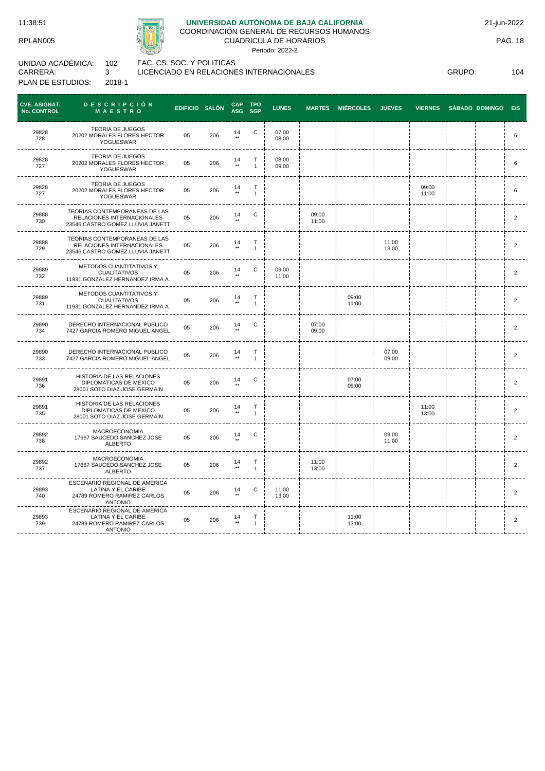

# **UNIVERSIDAD AUTÓNOMA DE BAJA CALIFORNIA**

COORDINACIÓN GENERAL DE RECURSOS HUMANOS CUADRICULA DE HORARIOS

Periodo: 2022-2

UNIDAD ACADÉMICA: CARRERA: PLAN DE ESTUDIOS: 102 3 2018-1

FAC. CS. SOC. Y POLITICAS LICENCIADO EN RELACIONES INTERNACIONALES

GRUPO: 104

| <b>CVE. ASIGNAT.</b><br><b>No. CONTROL</b> | <b>DESCRIPCIÓN</b><br>MAESTRO                                                                          | EDIFICIO SALÓN |     | <b>CAP</b><br><b>ASG</b> | <b>TPO</b><br><b>SGP</b> | <b>LUNES</b>   | <b>MARTES</b>  | <b>MIÉRCOLES</b> | <b>JUEVES</b>  | <b>VIERNES</b> | SÁBADO DOMINGO | E/S            |
|--------------------------------------------|--------------------------------------------------------------------------------------------------------|----------------|-----|--------------------------|--------------------------|----------------|----------------|------------------|----------------|----------------|----------------|----------------|
| 29828<br>728                               | <b>TEORIA DE JUEGOS</b><br>20202 MORALES FLORES HECTOR<br>YOGUESWAR                                    | 05             | 206 | $14 \atop \ast \ast$     | C                        | 07:00<br>08:00 |                |                  |                |                |                | 6              |
| 29828<br>727                               | <b>TEORIA DE JUEGOS</b><br>20202 MORALES FLORES HECTOR<br>YOGUESWAR                                    | 05             | 206 | 14<br>$\star\star$       | Т<br>$\mathbf{1}$        | 08:00<br>09:00 |                |                  |                |                |                | 6              |
| 29828<br>727                               | <b>TEORIA DE JUEGOS</b><br>20202 MORALES FLORES HECTOR<br>YOGUESWAR                                    | 05             | 206 | 14<br>$\star\star$       | Т<br>$\mathbf{1}$        |                |                |                  |                | 09:00<br>11:00 |                | 6              |
| 29888<br>730                               | <b>TEORIAS CONTEMPORANEAS DE LAS</b><br>RELACIONES INTERNACIONALES<br>23546 CASTRO GOMEZ LLUVIA JANETT | 05             | 206 | 14<br>$\star\star$       | C                        |                | 09:00<br>11:00 |                  |                |                |                | $\overline{c}$ |
| 29888<br>729                               | TEORIAS CONTEMPORANEAS DE LAS<br>RELACIONES INTERNACIONALES<br>23546 CASTRO GOMEZ LLUVIA JANETT        | 05             | 206 | $14 \atop \ast \ast$     | Т<br>$\mathbf{1}$        |                |                |                  | 11:00<br>13:00 |                |                | $\overline{c}$ |
| 29889<br>732                               | METODOS CUANTITATIVOS Y<br><b>CUALITATIVOS</b><br>11931 GONZALEZ HERNANDEZ IRMA A.                     | 05             | 206 | 14<br>$\star\star$       | C                        | 09:00<br>11:00 |                |                  |                |                |                | $\overline{c}$ |
| 29889<br>731                               | METODOS CUANTITATIVOS Y<br><b>CUALITATIVOS</b><br>11931 GONZALEZ HERNANDEZ IRMA A.                     | 05             | 206 | $14 \atop \star \star$   | Τ<br>$\mathbf{1}$        |                |                | 09:00<br>11:00   |                |                |                | $\overline{2}$ |
| 29890<br>734                               | DERECHO INTERNACIONAL PUBLICO<br>7427 GARCIA ROMERO MIGUEL ANGEL                                       | 05             | 206 | 14                       | $\mathbf C$              |                | 07:00<br>09:00 |                  |                |                |                | $\overline{2}$ |
| 29890<br>733                               | DERECHO INTERNACIONAL PUBLICO<br>7427 GARCIA ROMERO MIGUEL ANGEL                                       | 05             | 206 | $14 \atop \star \star$   | Т<br>$\mathbf{1}$        |                |                |                  | 07:00<br>09:00 |                |                | $\overline{2}$ |
| 29891<br>736                               | HISTORIA DE LAS RELACIONES<br>DIPLOMATICAS DE MEXICO<br>28001 SOTO DIAZ JOSE GERMAIN                   | 05             | 206 | $\frac{14}{11}$          | $\mathbf C$              |                |                | 07:00<br>09:00   |                |                |                | $\overline{2}$ |
| 29891<br>735                               | HISTORIA DE LAS RELACIONES<br>DIPLOMATICAS DE MEXICO<br>28001 SOTO DIAZ JOSE GERMAIN                   | 05             | 206 | 14                       | Т<br>$\mathbf{1}$        |                |                |                  |                | 11:00<br>13:00 |                | $\overline{2}$ |
| 29892<br>738                               | <b>MACROECONOMIA</b><br>17667 SAUCEDO SANCHEZ JOSE<br>ALBERTO                                          | 05             | 206 | $14 \atop \ast \ast$     | C                        |                |                |                  | 09:00<br>11:00 |                |                | $\overline{2}$ |
| 29892<br>737                               | MACROECONOMIA<br>17667 SAUCEDO SANCHEZ JOSE<br><b>ALBERTO</b>                                          | 05             | 206 | $\frac{14}{11}$          | Т<br>$\mathbf{1}$        |                | 11:00<br>13:00 |                  |                |                |                | $\overline{c}$ |
| 29893<br>740                               | ESCENARIO REGIONAL DE AMERICA<br>LATINA Y EL CARIBE<br>24789 ROMERO RAMIREZ CARLOS<br><b>ANTONIO</b>   | 05             | 206 | 14                       | C                        | 11:00<br>13:00 |                |                  |                |                |                | $\overline{c}$ |
| 29893<br>739                               | ESCENARIO REGIONAL DE AMERICA<br>LATINA Y EL CARIBE<br>24789 ROMERO RAMIREZ CARLOS<br><b>ANTONIO</b>   | 05             | 206 | $\frac{14}{11}$          | Τ<br>$\mathbf{1}$        |                |                | 11:00<br>13:00   |                |                |                | $\sqrt{2}$     |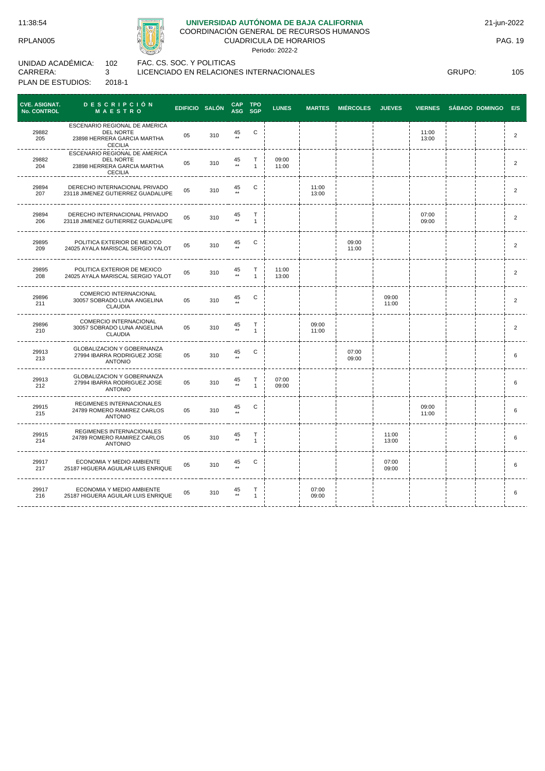

## **UNIVERSIDAD AUTÓNOMA DE BAJA CALIFORNIA**

LICENCIADO EN RELACIONES INTERNACIONALES

COORDINACIÓN GENERAL DE RECURSOS HUMANOS

CUADRICULA DE HORARIOS

Periodo: 2022-2

UNIDAD ACADÉMICA: CARRERA: PLAN DE ESTUDIOS: 102 3 2018-1

GRUPO: 105

| <b>CVE. ASIGNAT.</b><br>No. CONTROL | <b>DESCRIPCIÓN</b><br><b>MAESTRO</b>                                                               | EDIFICIO SALÓN |     | CAP TPO<br>ASG SGP     |                   | <b>LUNES</b>   | <b>MARTES</b>  | <b>MIÉRCOLES</b> | <b>JUEVES</b>  | <b>VIERNES</b> | SÁBADO DOMINGO E/S |                |
|-------------------------------------|----------------------------------------------------------------------------------------------------|----------------|-----|------------------------|-------------------|----------------|----------------|------------------|----------------|----------------|--------------------|----------------|
| 29882<br>205                        | ESCENARIO REGIONAL DE AMERICA<br>DEL NORTE<br>23898 HERRERA GARCIA MARTHA<br><b>CECILIA</b>        | 05             | 310 | 45<br>$**$             | С                 |                |                |                  |                | 11:00<br>13:00 |                    | 2              |
| 29882<br>204                        | ESCENARIO REGIONAL DE AMERICA<br><b>DEL NORTE</b><br>23898 HERRERA GARCIA MARTHA<br><b>CECILIA</b> | 05             | 310 | 45<br>$**$             | Т<br>$\mathbf{1}$ | 09:00<br>11:00 |                |                  |                |                |                    | $\overline{2}$ |
| 29894<br>207                        | DERECHO INTERNACIONAL PRIVADO<br>23118 JIMENEZ GUTIERREZ GUADALUPE                                 | 05             | 310 | 45                     | С                 |                | 11:00<br>13:00 |                  |                |                |                    | 2              |
| 29894<br>206                        | DERECHO INTERNACIONAL PRIVADO<br>23118 JIMENEZ GUTIERREZ GUADALUPE                                 | 05             | 310 | 45<br>$\star\star$     | Т<br>$\mathbf{1}$ |                |                |                  |                | 07:00<br>09:00 |                    | $\overline{2}$ |
| 29895<br>209                        | POLITICA EXTERIOR DE MEXICO<br>24025 AYALA MARISCAL SERGIO YALOT                                   | 05             | 310 | 45                     | С                 |                |                | 09:00<br>11:00   |                |                |                    | $\overline{2}$ |
| 29895<br>208                        | POLITICA EXTERIOR DE MEXICO<br>24025 AYALA MARISCAL SERGIO YALOT                                   | 05             | 310 | 45<br>$\star\star$     | т<br>$\mathbf{1}$ | 11:00<br>13:00 |                |                  |                |                |                    | 2              |
| 29896<br>211                        | COMERCIO INTERNACIONAL<br>30057 SOBRADO LUNA ANGELINA<br><b>CLAUDIA</b>                            | 05             | 310 | 45                     | C                 |                |                |                  | 09:00<br>11:00 |                |                    | $\overline{2}$ |
| 29896<br>210                        | COMERCIO INTERNACIONAL<br>30057 SOBRADO LUNA ANGELINA<br><b>CLAUDIA</b>                            | 05             | 310 | 45<br>$\star\star$     | Т<br>$\mathbf{1}$ |                | 09:00<br>11:00 |                  |                |                |                    | $\overline{2}$ |
| 29913<br>213                        | <b>GLOBALIZACION Y GOBERNANZA</b><br>27994 IBARRA RODRIGUEZ JOSE<br><b>ANTONIO</b>                 | 05             | 310 | 45                     | C                 |                |                | 07:00<br>09:00   |                |                |                    | 6              |
| 29913<br>212                        | <b>GLOBALIZACION Y GOBERNANZA</b><br>27994 IBARRA RODRIGUEZ JOSE<br><b>ANTONIO</b>                 | 05             | 310 | 45<br>$\star\star$     | T<br>$\mathbf{1}$ | 07:00<br>09:00 |                |                  |                |                |                    | 6              |
| 29915<br>215                        | REGIMENES INTERNACIONALES<br>24789 ROMERO RAMIREZ CARLOS<br><b>ANTONIO</b>                         | 05             | 310 | 45                     | С                 |                |                |                  |                | 09:00<br>11:00 |                    | 6              |
| 29915<br>214                        | REGIMENES INTERNACIONALES<br>24789 ROMERO RAMIREZ CARLOS<br><b>ANTONIO</b>                         | 05             | 310 | $45 \atop \ast \ast$   | Т<br>$\mathbf{1}$ |                |                |                  | 11:00<br>13:00 |                |                    | 6              |
| 29917<br>217                        | ECONOMIA Y MEDIO AMBIENTE<br>25187 HIGUERA AGUILAR LUIS ENRIQUE                                    | 05             | 310 | $45 \atop \ast\ast$    | С                 |                |                |                  | 07:00<br>09:00 |                |                    | 6              |
| 29917<br>216                        | ECONOMIA Y MEDIO AMBIENTE<br>25187 HIGUERA AGUILAR LUIS ENRIQUE                                    | 05             | 310 | $45 \atop \star \star$ | Т<br>1            |                | 07:00<br>09:00 |                  |                |                |                    | 6              |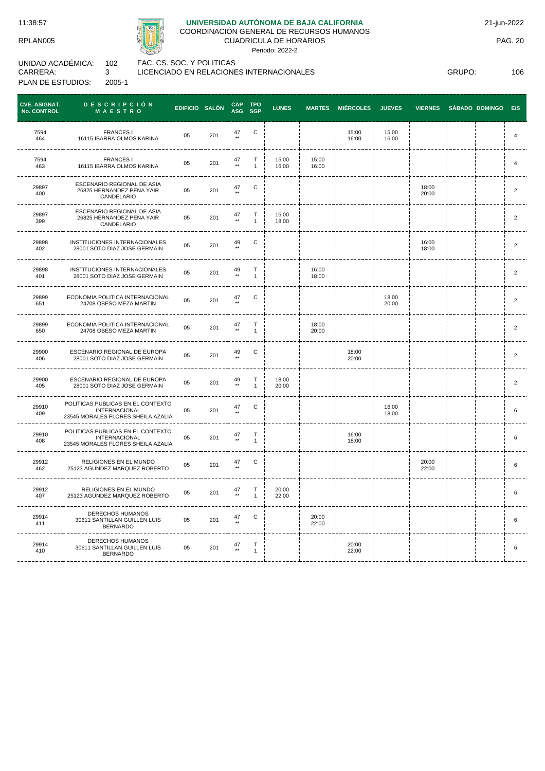

## **UNIVERSIDAD AUTÓNOMA DE BAJA CALIFORNIA**

COORDINACIÓN GENERAL DE RECURSOS HUMANOS CUADRICULA DE HORARIOS

Periodo: 2022-2

UNIDAD ACADÉMICA: CARRERA: PLAN DE ESTUDIOS: 102 3 2005-1 FAC. CS. SOC. Y POLITICAS LICENCIADO EN RELACIONES INTERNACIONALES

GRUPO: 106

| <b>CVE. ASIGNAT.</b><br><b>No. CONTROL</b> | <b>DESCRIPCIÓN</b><br>MAESTRO                                                                                               | EDIFICIO SALÓN |     | <b>CAP</b><br><b>ASG</b> | <b>TPO</b><br><b>SGP</b> | <b>LUNES</b>   | <b>MARTES</b>  | <b>MIÉRCOLES</b> | <b>JUEVES</b>  | <b>VIERNES</b> | <b>SÁBADO DOMINGO</b> | E/S            |
|--------------------------------------------|-----------------------------------------------------------------------------------------------------------------------------|----------------|-----|--------------------------|--------------------------|----------------|----------------|------------------|----------------|----------------|-----------------------|----------------|
| 7594<br>464                                | <b>FRANCES1</b><br>16115 IBARRA OLMOS KARINA                                                                                | 05             | 201 | 47                       | C                        |                |                | 15:00<br>16:00   | 15:00<br>16:00 |                |                       | 4              |
| 7594<br>463                                | <b>FRANCES1</b><br>16115 IBARRA OLMOS KARINA                                                                                | 05             | 201 | 47<br>$\star\star$       | т<br>$\mathbf{1}$        | 15:00<br>16:00 | 15:00<br>16:00 |                  |                |                |                       | $\overline{4}$ |
| 29897<br>400                               | ESCENARIO REGIONAL DE ASIA<br>26825 HERNANDEZ PENA YAIR<br>CANDELARIO                                                       | 05             | 201 | $47 \atop \ast \ast$     | С                        |                |                |                  |                | 18:00<br>20:00 |                       | $\overline{2}$ |
| 29897<br>399                               | ESCENARIO REGIONAL DE ASIA<br>26825 HERNANDEZ PENA YAIR<br>CANDELARIO                                                       | 05             | 201 | $47 \atop \ast \ast$     | T<br>$\mathbf{1}$        | 16:00<br>18:00 |                |                  |                |                |                       | $\overline{2}$ |
| 29898<br>402                               | INSTITUCIONES INTERNACIONALES<br>28001 SOTO DIAZ JOSE GERMAIN                                                               | 05             | 201 | 49<br>$\star\star$       | C                        |                |                |                  |                | 16:00<br>18:00 |                       | $\overline{2}$ |
| 29898<br>401                               | INSTITUCIONES INTERNACIONALES<br>28001 SOTO DIAZ JOSE GERMAIN                                                               | 05             | 201 | 49<br>$\star\star$       | т<br>$\mathbf{1}$        |                | 16:00<br>18:00 |                  |                |                |                       | $\overline{2}$ |
| 29899<br>651                               | ECONOMIA POLITICA INTERNACIONAL<br>24708 OBESO MEZA MARTIN                                                                  | 05             | 201 | $47 \atop \ast \ast$     | С                        |                |                |                  | 18:00<br>20:00 |                |                       | $\overline{2}$ |
| 29899<br>650                               | ECONOMIA POLITICA INTERNACIONAL<br>24708 OBESO MEZA MARTIN                                                                  | 05             | 201 | $47 \atop \ast \ast$     | Т<br>$\mathbf{1}$        |                | 18:00<br>20:00 |                  |                |                |                       | $\overline{2}$ |
| 29900<br>406                               | ESCENARIO REGIONAL DE EUROPA<br>28001 SOTO DIAZ JOSE GERMAIN                                                                | 05             | 201 | $49 \atop \ast\ast$      | С                        |                |                | 18:00<br>20:00   |                |                |                       | $\overline{2}$ |
| 29900<br>405                               | ESCENARIO REGIONAL DE EUROPA<br>28001 SOTO DIAZ JOSE GERMAIN                                                                | 05             | 201 | $49 \atop \ast \ast$     | Т<br>$\mathbf{1}$        | 18:00<br>20:00 |                |                  |                |                |                       | $\overline{2}$ |
| 29910<br>409                               | POLITICAS PUBLICAS EN EL CONTEXTO<br><b>INTERNACIONAL</b><br>23545 MORALES FLORES SHEILA AZALIA<br>------------------------ | 05             | 201 | $47 \atop \ast \ast$     | С                        |                |                |                  | 16:00<br>18:00 |                |                       | 6              |
| 29910<br>408                               | POLITICAS PUBLICAS EN EL CONTEXTO<br><b>INTERNACIONAL</b><br>23545 MORALES FLORES SHEILA AZALIA                             | 05             | 201 | $47 \atop \star \star$   | Т<br>$\mathbf{1}$        |                |                | 16:00<br>18:00   |                |                |                       | 6              |
| 29912<br>462                               | RELIGIONES EN EL MUNDO<br>25123 AGUNDEZ MARQUEZ ROBERTO                                                                     | 05             | 201 | $47 \atop \star \star$   | С                        |                |                |                  |                | 20:00<br>22:00 |                       | 6              |
| 29912<br>407                               | RELIGIONES EN EL MUNDO<br>25123 AGUNDEZ MARQUEZ ROBERTO                                                                     | 05             | 201 | $47 \atop \ast \ast$     | Т<br>$\mathbf{1}$        | 20:00<br>22:00 |                |                  |                |                |                       | 6              |
| 29914<br>411                               | <b>DERECHOS HUMANOS</b><br>30611 SANTILLAN GUILLEN LUIS<br><b>BERNARDO</b>                                                  | 05             | 201 | $47 \atop \star \star$   | С                        |                | 20:00<br>22:00 |                  |                |                |                       | 6              |
| 29914<br>410                               | DERECHOS HUMANOS<br>30611 SANTILLAN GUILLEN LUIS<br><b>BERNARDO</b>                                                         | 05             | 201 | $47 \atop{**}$           | Т<br>$\mathbf{1}$        |                |                | 20:00<br>22:00   |                |                |                       | 6              |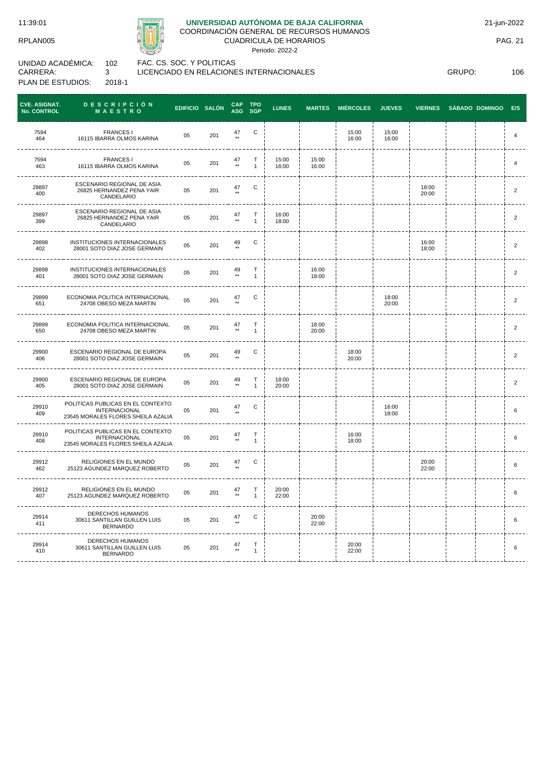# **UNIVERSIDAD AUTÓNOMA DE BAJA CALIFORNIA**

COORDINACIÓN GENERAL DE RECURSOS HUMANOS

CUADRICULA DE HORARIOS Periodo: 2022-2

UNIDAD ACADÉMICA: CARRERA: PLAN DE ESTUDIOS: 102 3 2018-1

FAC. CS. SOC. Y POLITICAS LICENCIADO EN RELACIONES INTERNACIONALES

GRUPO: 106

| <b>CVE. ASIGNAT.</b><br><b>No. CONTROL</b> | <b>DESCRIPCIÓN</b><br>MAESTRO                                                                        | EDIFICIO SALÓN |     | CAP TPO<br>ASG SGP         |                              | <b>LUNES</b>   | <b>MARTES</b>  | <b>MIÉRCOLES</b> | <b>JUEVES</b>  | <b>VIERNES</b> | <b>SÁBADO DOMINGO</b> | E/S            |
|--------------------------------------------|------------------------------------------------------------------------------------------------------|----------------|-----|----------------------------|------------------------------|----------------|----------------|------------------|----------------|----------------|-----------------------|----------------|
| 7594<br>464                                | <b>FRANCES I</b><br>16115 IBARRA OLMOS KARINA                                                        | 05             | 201 | 47                         | С                            |                |                | 15:00<br>16:00   | 15:00<br>16:00 |                |                       | 4              |
| 7594<br>463                                | <b>FRANCES1</b><br>16115 IBARRA OLMOS KARINA                                                         | 05             | 201 | 47<br>$**$                 | $\mathsf{T}$<br>$\mathbf{1}$ | 15:00<br>16:00 | 15:00<br>16:00 |                  |                |                |                       | $\overline{4}$ |
| 29897<br>400                               | ESCENARIO REGIONAL DE ASIA<br>26825 HERNANDEZ PENA YAIR<br>CANDELARIO                                | 05             | 201 | 47                         | C                            |                |                |                  |                | 18:00<br>20:00 |                       | $\overline{2}$ |
| 29897<br>399                               | ESCENARIO REGIONAL DE ASIA<br>26825 HERNANDEZ PENA YAIR<br>CANDELARIO                                | 05             | 201 | 47                         | $\top$<br>$\mathbf{1}$       | 16:00<br>18:00 |                |                  |                |                |                       | $\overline{2}$ |
| 29898<br>402                               | INSTITUCIONES INTERNACIONALES<br>28001 SOTO DIAZ JOSE GERMAIN                                        | 05             | 201 | 49<br>$+ +$                | С                            |                |                |                  |                | 16:00<br>18:00 |                       | $\overline{2}$ |
| 29898<br>401                               | INSTITUCIONES INTERNACIONALES<br>28001 SOTO DIAZ JOSE GERMAIN                                        | 05             | 201 | 49<br>$\star\star$         | Т<br>$\mathbf{1}$            |                | 16:00<br>18:00 |                  |                |                |                       | $\overline{2}$ |
| 29899<br>651                               | ECONOMIA POLITICA INTERNACIONAL<br>24708 OBESO MEZA MARTIN                                           | 05             | 201 | $^{47}_{\tiny \star\star}$ | С                            |                |                |                  | 18:00<br>20:00 |                |                       | $\overline{2}$ |
| 29899<br>650                               | ECONOMIA POLITICA INTERNACIONAL<br>24708 OBESO MEZA MARTIN                                           | 05             | 201 | $^{47}_{\tiny \star\star}$ | Т<br>$\mathbf{1}$            |                | 18:00<br>20:00 |                  |                |                |                       | $\overline{2}$ |
| 29900<br>406                               | ESCENARIO REGIONAL DE EUROPA<br>28001 SOTO DIAZ JOSE GERMAIN                                         | 05             | 201 | 49<br>$\star\star$         | С                            |                |                | 18:00<br>20:00   |                |                |                       | $\overline{2}$ |
| 29900<br>405                               | ESCENARIO REGIONAL DE EUROPA<br>28001 SOTO DIAZ JOSE GERMAIN                                         | 05             | 201 | 49<br>$\star\star$         | Т<br>$\mathbf{1}$            | 18:00<br>20:00 |                |                  |                |                |                       | $\overline{2}$ |
| 29910<br>409                               | POLITICAS PUBLICAS EN EL CONTEXTO<br><b>INTERNACIONAL</b><br>23545 MORALES FLORES SHEILA AZALIA      | 05             | 201 | $47 \atop{ \star \star}$   | С                            |                |                |                  | 16:00<br>18:00 |                |                       | 6              |
| 29910<br>408                               | POLITICAS PUBLICAS EN EL CONTEXTO<br><b>INTERNACIONAL</b><br>23545 MORALES FLORES SHEILA AZALIA<br>. | 05             | 201 | $47 \atop \star\star$      | $\top$<br>$\mathbf{1}$       |                |                | 16:00<br>18:00   |                |                |                       | 6              |
| 29912<br>462                               | RELIGIONES EN EL MUNDO<br>25123 AGUNDEZ MARQUEZ ROBERTO                                              | 05             | 201 | 47                         | С                            |                |                |                  |                | 20:00<br>22:00 |                       | 6              |
| 29912<br>407                               | RELIGIONES EN EL MUNDO<br>25123 AGUNDEZ MARQUEZ ROBERTO                                              | 05             | 201 | $\frac{47}{11}$            | т<br>$\overline{1}$          | 20:00<br>22:00 |                |                  |                |                |                       | 6              |
| 29914<br>411                               | DERECHOS HUMANOS<br>30611 SANTILLAN GUILLEN LUIS<br><b>BERNARDO</b>                                  | 05             | 201 | $47 \atop{ \star \star}$   | С                            |                | 20:00<br>22:00 |                  |                |                |                       | 6              |
| 29914<br>410                               | DERECHOS HUMANOS<br>30611 SANTILLAN GUILLEN LUIS<br><b>BERNARDO</b>                                  | 05             | 201 | $47 \atop \ast\ast$        | Т<br>$\mathbf{1}$            |                |                | 20:00<br>22:00   |                |                |                       | 6              |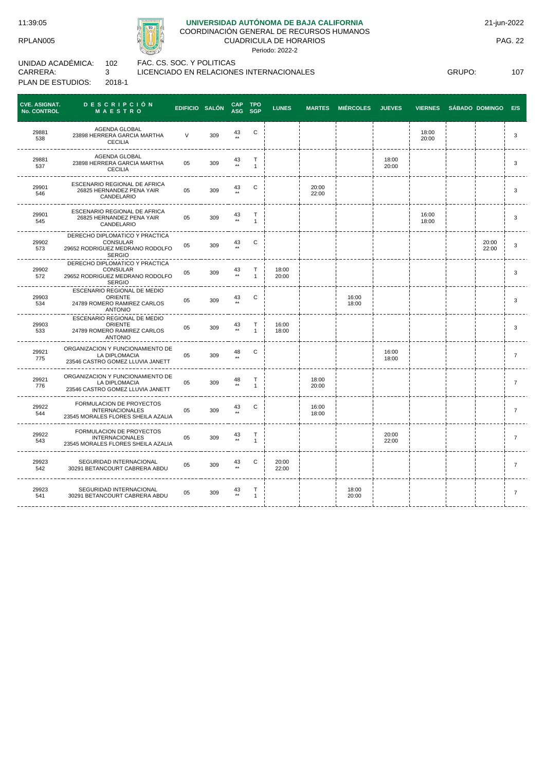

# **UNIVERSIDAD AUTÓNOMA DE BAJA CALIFORNIA**

COORDINACIÓN GENERAL DE RECURSOS HUMANOS CUADRICULA DE HORARIOS

Periodo: 2022-2

UNIDAD ACADÉMICA: CARRERA: PLAN DE ESTUDIOS: 102 3 2018-1

FAC. CS. SOC. Y POLITICAS LICENCIADO EN RELACIONES INTERNACIONALES

GRUPO: 107

| <b>CVE. ASIGNAT.</b><br>No. CONTROL | <b>DESCRIPCIÓN</b><br>MAESTRO                                                                  | EDIFICIO SALÓN |     | CAP TPO<br>ASG SGP |                   | <b>LUNES</b>   | <b>MARTES</b>  | <b>MIÉRCOLES</b> | <b>JUEVES</b>  | <b>VIERNES</b> | <b>SÁBADO DOMINGO</b> | E/S            |
|-------------------------------------|------------------------------------------------------------------------------------------------|----------------|-----|--------------------|-------------------|----------------|----------------|------------------|----------------|----------------|-----------------------|----------------|
| 29881<br>538                        | AGENDA GLOBAL<br>23898 HERRERA GARCIA MARTHA<br><b>CECILIA</b>                                 | $\vee$         | 309 | 43                 | С                 |                |                |                  |                | 18:00<br>20:00 |                       | 3              |
| 29881<br>537                        | <b>AGENDA GLOBAL</b><br>23898 HERRERA GARCIA MARTHA<br><b>CECILIA</b>                          | 05             | 309 | 43<br>$\star\star$ | Т<br>$\mathbf{1}$ |                |                |                  | 18:00<br>20:00 |                |                       | 3              |
| 29901<br>546                        | ESCENARIO REGIONAL DE AFRICA<br>26825 HERNANDEZ PENA YAIR<br>CANDELARIO                        | 05             | 309 | 43                 | С                 |                | 20:00<br>22:00 |                  |                |                |                       | 3              |
| 29901<br>545                        | ESCENARIO REGIONAL DE AFRICA<br>26825 HERNANDEZ PENA YAIR<br>CANDELARIO                        | 05             | 309 | 43<br>$\star\star$ | Т<br>$\mathbf{1}$ |                |                |                  |                | 16:00<br>18:00 |                       | 3              |
| 29902<br>573                        | DERECHO DIPLOMATICO Y PRACTICA<br>CONSULAR<br>29652 RODRIGUEZ MEDRANO RODOLFO<br>SERGIO        | 05             | 309 | 43                 | С                 |                |                |                  |                |                | 20:00<br>22:00        | 3              |
| 29902<br>572                        | DERECHO DIPLOMATICO Y PRACTICA<br>CONSULAR<br>29652 RODRIGUEZ MEDRANO RODOLFO<br>SERGIO        | 05             | 309 | 43<br>$\star\star$ | Т<br>$\mathbf{1}$ | 18:00<br>20:00 |                |                  |                |                |                       | 3              |
| 29903<br>534                        | ESCENARIO REGIONAL DE MEDIO<br><b>ORIENTE</b><br>24789 ROMERO RAMIREZ CARLOS<br><b>ANTONIO</b> | 05             | 309 | 43                 | С                 |                |                | 16:00<br>18:00   |                |                |                       | 3              |
| 29903<br>533                        | ESCENARIO REGIONAL DE MEDIO<br><b>ORIENTE</b><br>24789 ROMERO RAMIREZ CARLOS<br><b>ANTONIO</b> | 05             | 309 | 43<br>$\star\star$ | Т<br>$\mathbf{1}$ | 16:00<br>18:00 |                |                  |                |                |                       | 3              |
| 29921<br>775                        | ORGANIZACION Y FUNCIONAMIENTO DE<br>LA DIPLOMACIA<br>23546 CASTRO GOMEZ LLUVIA JANETT          | 05             | 309 | 48                 | C                 |                |                |                  | 16:00<br>18:00 |                |                       | 7              |
| 29921<br>776                        | ORGANIZACION Y FUNCIONAMIENTO DE<br>LA DIPLOMACIA<br>23546 CASTRO GOMEZ LLUVIA JANETT          | 05             | 309 | 48<br>$\star\star$ | т<br>$\mathbf{1}$ |                | 18:00<br>20:00 |                  |                |                |                       | $\overline{7}$ |
| 29922<br>544                        | FORMULACION DE PROYECTOS<br><b>INTERNACIONALES</b><br>23545 MORALES FLORES SHEILA AZALIA       | 05             | 309 | 43                 | C                 |                | 16:00<br>18:00 |                  |                |                |                       | $\overline{7}$ |
| 29922<br>543                        | FORMULACION DE PROYECTOS<br><b>INTERNACIONALES</b><br>23545 MORALES FLORES SHEILA AZALIA       | 05             | 309 | 43<br>$\star\star$ | Т<br>$\mathbf{1}$ |                |                |                  | 20:00<br>22:00 |                |                       | $\overline{7}$ |
| 29923<br>542                        | SEGURIDAD INTERNACIONAL<br>30291 BETANCOURT CABRERA ABDU                                       | 05             | 309 | 43                 | С                 | 20:00<br>22:00 |                |                  |                |                |                       | 7              |
| 29923<br>541                        | SEGURIDAD INTERNACIONAL<br>30291 BETANCOURT CABRERA ABDU                                       | 05             | 309 | 43                 | Т<br>$\mathbf{1}$ |                |                | 18:00<br>20:00   |                |                |                       | $\overline{7}$ |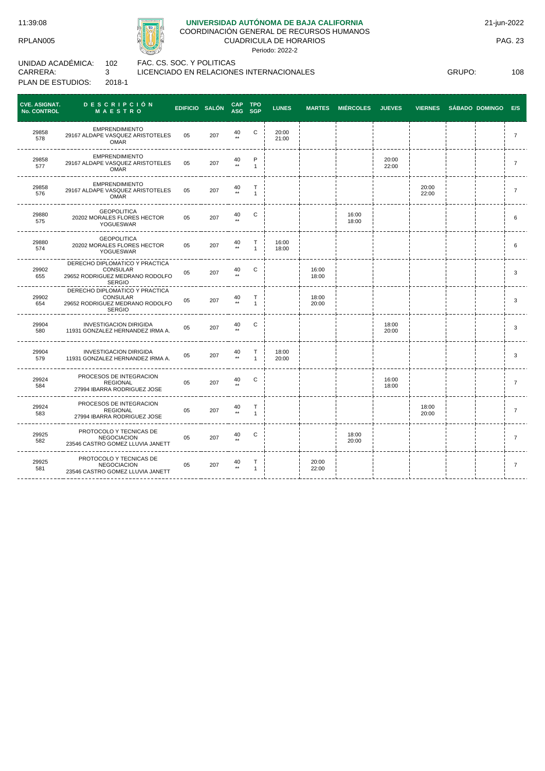

## **UNIVERSIDAD AUTÓNOMA DE BAJA CALIFORNIA**

COORDINACIÓN GENERAL DE RECURSOS HUMANOS CUADRICULA DE HORARIOS

Periodo: 2022-2

UNIDAD ACADÉMICA: CARRERA: PLAN DE ESTUDIOS: 102 3 2018-1

FAC. CS. SOC. Y POLITICAS LICENCIADO EN RELACIONES INTERNACIONALES

GRUPO: 108

| <b>CVE. ASIGNAT.</b><br><b>No. CONTROL</b> | <b>DESCRIPCIÓN</b><br><b>MAESTRO</b>                                                           | EDIFICIO SALÓN |     | <b>CAP</b>            | <b>TPO</b><br>ASG SGP | <b>LUNES</b>   | <b>MARTES</b>  | <b>MIÉRCOLES</b> | <b>JUEVES</b>  | <b>VIERNES</b> | SÁBADO DOMINGO E/S |                |
|--------------------------------------------|------------------------------------------------------------------------------------------------|----------------|-----|-----------------------|-----------------------|----------------|----------------|------------------|----------------|----------------|--------------------|----------------|
| 29858<br>578                               | <b>EMPRENDIMIENTO</b><br>29167 ALDAPE VASQUEZ ARISTOTELES<br><b>OMAR</b>                       | 0 <sub>5</sub> | 207 | 40                    | C                     | 20:00<br>21:00 |                |                  |                |                |                    | $\overline{7}$ |
| 29858<br>577                               | <b>EMPRENDIMIENTO</b><br>29167 ALDAPE VASQUEZ ARISTOTELES<br><b>OMAR</b>                       | 05             | 207 | 40<br>$^{\star\star}$ | P<br>$\mathbf{1}$     |                |                |                  | 20:00<br>22:00 |                |                    | $\overline{7}$ |
| 29858<br>576                               | <b>EMPRENDIMIENTO</b><br>29167 ALDAPE VASQUEZ ARISTOTELES<br>OMAR                              | 05             | 207 | 40                    | т<br>$\mathbf{1}$     |                |                |                  |                | 20:00<br>22:00 |                    | $\overline{7}$ |
| 29880<br>575                               | <b>GEOPOLITICA</b><br>20202 MORALES FLORES HECTOR<br>YOGUESWAR                                 | 05             | 207 | 40                    | C                     |                |                | 16:00<br>18:00   |                |                |                    | 6              |
| 29880<br>574                               | <b>GEOPOLITICA</b><br>20202 MORALES FLORES HECTOR<br>YOGUESWAR                                 | 05             | 207 | 40<br>$\star\star$    | т<br>$\mathbf{1}$     | 16:00<br>18:00 |                |                  |                |                |                    | 6              |
| 29902<br>655                               | DERECHO DIPLOMATICO Y PRACTICA<br>CONSULAR<br>29652 RODRIGUEZ MEDRANO RODOLFO<br>SERGIO        | 05             | 207 | 40                    | C                     |                | 16:00<br>18:00 |                  |                |                |                    | 3              |
| 29902<br>654                               | DERECHO DIPLOMATICO Y PRACTICA<br>CONSULAR<br>29652 RODRIGUEZ MEDRANO RODOLFO<br><b>SERGIO</b> | 05             | 207 | $40$ **               | т<br>$\mathbf{1}$     |                | 18:00<br>20:00 |                  |                |                |                    | 3              |
| 29904<br>580                               | <b>INVESTIGACION DIRIGIDA</b><br>11931 GONZALEZ HERNANDEZ IRMA A.                              | 05             | 207 | 40                    | С                     |                |                |                  | 18:00<br>20:00 |                |                    | 3              |
| 29904<br>579                               | <b>INVESTIGACION DIRIGIDA</b><br>11931 GONZALEZ HERNANDEZ IRMA A.                              | 05             | 207 | 40                    | Т<br>$\mathbf{1}$     | 18:00<br>20:00 |                |                  |                |                |                    | 3              |
| 29924<br>584                               | PROCESOS DE INTEGRACION<br><b>REGIONAL</b><br>27994 IBARRA RODRIGUEZ JOSE                      | 05             | 207 | 40                    | С                     |                |                |                  | 16:00<br>18:00 |                |                    | $\overline{7}$ |
| 29924<br>583                               | PROCESOS DE INTEGRACION<br><b>REGIONAL</b><br>27994 IBARRA RODRIGUEZ JOSE                      | 05             | 207 | 40                    | т<br>$\mathbf{1}$     |                |                |                  |                | 18:00<br>20:00 |                    | 7              |
| 29925<br>582                               | PROTOCOLO Y TECNICAS DE<br><b>NEGOCIACION</b><br>23546 CASTRO GOMEZ LLUVIA JANETT              | 05             | 207 | 40                    | С                     |                |                | 18:00<br>20:00   |                |                |                    | $\overline{7}$ |
| 29925<br>581                               | PROTOCOLO Y TECNICAS DE<br><b>NEGOCIACION</b><br>23546 CASTRO GOMEZ LLUVIA JANETT              | 05             | 207 | 40                    | т<br>$\mathbf{1}$     |                | 20:00<br>22:00 |                  |                |                |                    | $\overline{7}$ |
|                                            |                                                                                                |                |     |                       |                       |                |                |                  |                |                |                    |                |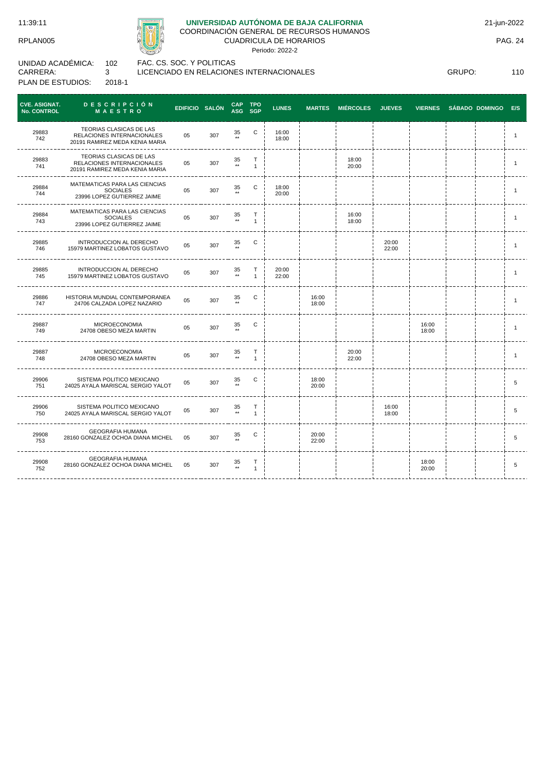

# **UNIVERSIDAD AUTÓNOMA DE BAJA CALIFORNIA**

COORDINACIÓN GENERAL DE RECURSOS HUMANOS

CUADRICULA DE HORARIOS

Periodo: 2022-2

UNIDAD ACADÉMICA: CARRERA: PLAN DE ESTUDIOS: 102 3 2018-1

FAC. CS. SOC. Y POLITICAS LICENCIADO EN RELACIONES INTERNACIONALES

GRUPO: 110

| <b>CVE. ASIGNAT.</b><br><b>No. CONTROL</b> | <b>DESCRIPCIÓN</b><br><b>MAESTRO</b>                                                    | EDIFICIO SALÓN |     | CAP TPO               | ASG SGP           | <b>LUNES</b>   | <b>MARTES</b>  | <b>MIÉRCOLES</b> | <b>JUEVES</b>  | <b>VIERNES</b> | SÁBADO DOMINGO E/S |              |
|--------------------------------------------|-----------------------------------------------------------------------------------------|----------------|-----|-----------------------|-------------------|----------------|----------------|------------------|----------------|----------------|--------------------|--------------|
| 29883<br>742                               | TEORIAS CLASICAS DE LAS<br>RELACIONES INTERNACIONALES<br>20191 RAMIREZ MEDA KENIA MARIA | 05             | 307 | 35<br>$\star\star$    | С                 | 16:00<br>18:00 |                |                  |                |                |                    | 1            |
| 29883<br>741                               | TEORIAS CLASICAS DE LAS<br>RELACIONES INTERNACIONALES<br>20191 RAMIREZ MEDA KENIA MARIA | 05             | 307 | 35<br>$\star\star$    | T<br>$\mathbf{1}$ |                |                | 18:00<br>20:00   |                |                |                    | 1            |
| 29884<br>744                               | MATEMATICAS PARA LAS CIENCIAS<br><b>SOCIALES</b><br>23996 LOPEZ GUTIERREZ JAIME         | 05             | 307 | 35<br>$\star\star$    | C                 | 18:00<br>20:00 |                |                  |                |                |                    | $\mathbf{1}$ |
| 29884<br>743                               | MATEMATICAS PARA LAS CIENCIAS<br><b>SOCIALES</b><br>23996 LOPEZ GUTIERREZ JAIME         | 05             | 307 | 35<br>$\star\star$    | T<br>$\mathbf{1}$ |                |                | 16:00<br>18:00   |                |                |                    | 1            |
| 29885<br>746                               | INTRODUCCION AL DERECHO<br>15979 MARTINEZ LOBATOS GUSTAVO                               | 05             | 307 | 35                    | С                 |                |                |                  | 20:00<br>22:00 |                |                    | 1            |
| 29885<br>745                               | INTRODUCCION AL DERECHO<br>15979 MARTINEZ LOBATOS GUSTAVO                               | 05             | 307 | 35<br>$\star\star$    | т<br>$\mathbf{1}$ | 20:00<br>22:00 |                |                  |                |                |                    | $\mathbf{1}$ |
| 29886<br>747                               | HISTORIA MUNDIAL CONTEMPORANEA<br>24706 CALZADA LOPEZ NAZARIO                           | 05             | 307 | 35<br>$\star\star$    | C                 |                | 16:00<br>18:00 |                  |                |                |                    | 1            |
| 29887<br>749                               | MICROECONOMIA<br>24708 OBESO MEZA MARTIN                                                | 05             | 307 | 35                    | С                 |                |                |                  |                | 16:00<br>18:00 |                    | 1            |
| 29887<br>748                               | <b>MICROECONOMIA</b><br>24708 OBESO MEZA MARTIN                                         | 05             | 307 | $\frac{35}{11}$       | T<br>$\mathbf{1}$ |                |                | 20:00<br>22:00   |                |                |                    | $\mathbf{1}$ |
| 29906<br>751                               | SISTEMA POLITICO MEXICANO<br>24025 AYALA MARISCAL SERGIO YALOT                          | 05             | 307 | 35                    | С                 |                | 18:00<br>20:00 |                  |                |                |                    | 5            |
| 29906<br>750                               | SISTEMA POLITICO MEXICANO<br>24025 AYALA MARISCAL SERGIO YALOT                          | 05             | 307 | 35<br>$^{\star\star}$ | T<br>$\mathbf{1}$ |                |                |                  | 16:00<br>18:00 |                |                    | 5            |
| 29908<br>753                               | <b>GEOGRAFIA HUMANA</b><br>28160 GONZALEZ OCHOA DIANA MICHEL 05                         |                | 307 | 35                    | С                 |                | 20:00<br>22:00 |                  |                |                |                    | 5            |
| 29908<br>752                               | <b>GEOGRAFIA HUMANA</b><br>28160 GONZALEZ OCHOA DIANA MICHEL 05                         |                | 307 | 35<br>$^{\star\star}$ | т<br>$\mathbf{1}$ |                |                |                  |                | 18:00<br>20:00 |                    | 5            |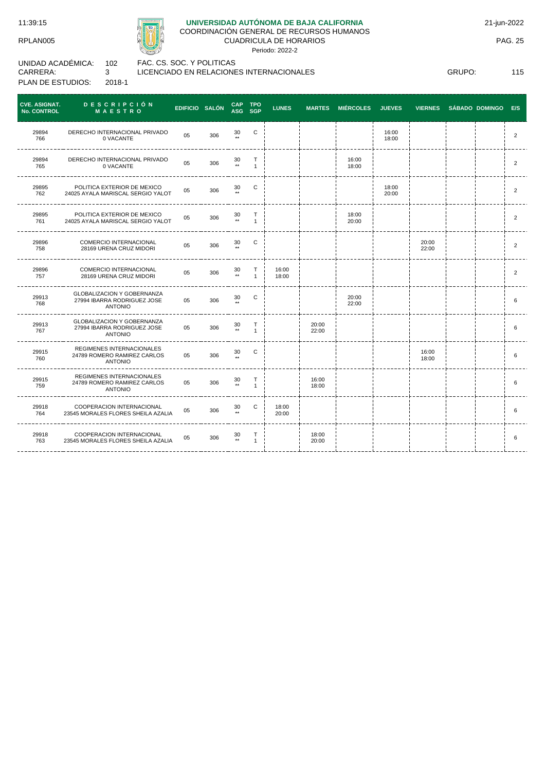

# **UNIVERSIDAD AUTÓNOMA DE BAJA CALIFORNIA**

COORDINACIÓN GENERAL DE RECURSOS HUMANOS CUADRICULA DE HORARIOS

Periodo: 2022-2

UNIDAD ACADÉMICA: CARRERA: PLAN DE ESTUDIOS: 102 3 2018-1

FAC. CS. SOC. Y POLITICAS LICENCIADO EN RELACIONES INTERNACIONALES

GRUPO: 115

| <b>CVE. ASIGNAT.</b><br>No. CONTROL | <b>DESCRIPCIÓN</b><br><b>MAESTRO</b>                                               | EDIFICIO SALÓN |     | CAP TPO<br>ASG SGP    |                   | <b>LUNES</b>   |                | MARTES MIÉRCOLES JUEVES |                | VIERNES SÁBADO DOMINGO |  | E/S            |
|-------------------------------------|------------------------------------------------------------------------------------|----------------|-----|-----------------------|-------------------|----------------|----------------|-------------------------|----------------|------------------------|--|----------------|
| 29894<br>766                        | DERECHO INTERNACIONAL PRIVADO<br>0 VACANTE                                         | 05             | 306 | 30<br>$++$            | C                 |                |                |                         | 16:00<br>18:00 |                        |  | $\overline{2}$ |
| 29894<br>765                        | DERECHO INTERNACIONAL PRIVADO<br>0 VACANTE                                         | 05             | 306 | 30<br>$^{\star\star}$ | T<br>$\mathbf{1}$ |                |                | 16:00<br>18:00          |                |                        |  | $\overline{2}$ |
| 29895<br>762                        | POLITICA EXTERIOR DE MEXICO<br>24025 AYALA MARISCAL SERGIO YALOT                   | 05             | 306 | 30<br>$\star\star$    | C                 |                |                |                         | 18:00<br>20:00 |                        |  | $\overline{2}$ |
| 29895<br>761                        | POLITICA EXTERIOR DE MEXICO<br>24025 AYALA MARISCAL SERGIO YALOT                   | 05             | 306 | 30<br>$\star\star$    | T<br>$\mathbf{1}$ |                |                | 18:00<br>20:00          |                |                        |  | $\overline{2}$ |
| 29896<br>758                        | COMERCIO INTERNACIONAL<br>28169 URENA CRUZ MIDORI                                  | 05             | 306 | 30<br>$+ +$           | C                 |                |                |                         |                | 20:00<br>22:00         |  | 2              |
| 29896<br>757                        | COMERCIO INTERNACIONAL<br>28169 URENA CRUZ MIDORI                                  | 05             | 306 | 30<br>$\star\star$    | т<br>$\mathbf{1}$ | 16:00<br>18:00 |                |                         |                |                        |  | $\overline{2}$ |
| 29913<br>768                        | <b>GLOBALIZACION Y GOBERNANZA</b><br>27994 IBARRA RODRIGUEZ JOSE<br><b>ANTONIO</b> | 05             | 306 | 30                    | C                 |                |                | 20:00<br>22:00          |                |                        |  | 6              |
| 29913<br>767                        | GLOBALIZACION Y GOBERNANZA<br>27994 IBARRA RODRIGUEZ JOSE<br><b>ANTONIO</b>        | 05             | 306 | 30<br>$\star\star$    | Т<br>$\mathbf{1}$ |                | 20:00<br>22:00 |                         |                |                        |  | 6              |
| 29915<br>760                        | REGIMENES INTERNACIONALES<br>24789 ROMERO RAMIREZ CARLOS<br><b>ANTONIO</b>         | 05             | 306 | 30                    | $\mathbf C$       |                |                |                         |                | 16:00<br>18:00         |  | 6              |
| 29915<br>759                        | REGIMENES INTERNACIONALES<br>24789 ROMERO RAMIREZ CARLOS<br><b>ANTONIO</b>         | 05             | 306 | 30<br>$\star\star$    | т<br>$\mathbf{1}$ |                | 16:00<br>18:00 |                         |                |                        |  | 6              |
| 29918<br>764                        | COOPERACION INTERNACIONAL<br>23545 MORALES FLORES SHEILA AZALIA                    | 0 <sub>5</sub> | 306 | 30<br>$\star\star$    | C                 | 18:00<br>20:00 |                |                         |                |                        |  | 6              |
| 29918<br>763                        | COOPERACION INTERNACIONAL<br>23545 MORALES FLORES SHEILA AZALIA                    | 05             | 306 | 30<br>$^{\star\star}$ | т<br>$\mathbf{1}$ |                | 18:00<br>20:00 |                         |                |                        |  | 6              |

21-jun-2022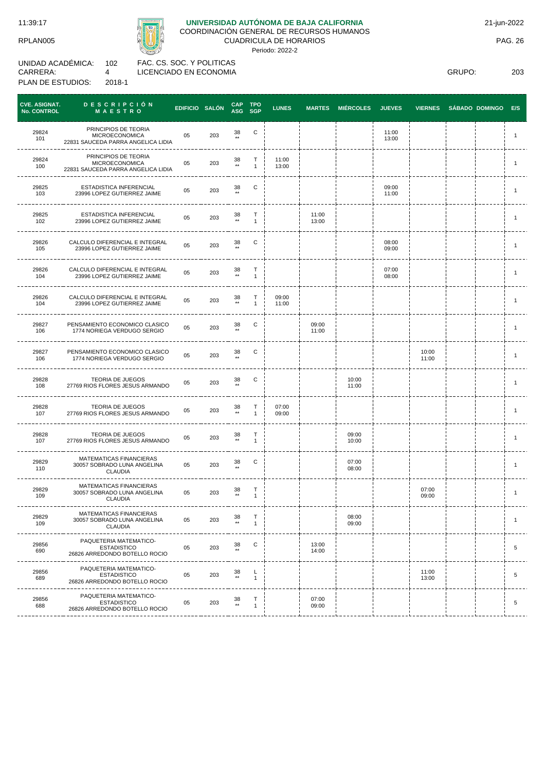RPLAN005

CARRERA:

UNIDAD ACADÉMICA:

PLAN DE ESTUDIOS:



# **UNIVERSIDAD AUTÓNOMA DE BAJA CALIFORNIA**

COORDINACIÓN GENERAL DE RECURSOS HUMANOS

CUADRICULA DE HORARIOS Periodo: 2022-2

102 4 FAC. CS. SOC. Y POLITICAS LICENCIADO EN ECONOMIA

2018-1

GRUPO: 203

| <b>CVE. ASIGNAT.</b><br><b>No. CONTROL</b> | DESCRIPCIÓN<br>MAESTRO                                                              | EDIFICIO SALÓN |     | CAP TPO<br>ASG SGP    |                   | <b>LUNES</b>   | <b>MARTES</b>  | <b>MIÉRCOLES</b> | <b>JUEVES</b>  | <b>VIERNES</b> | SÁBADO DOMINGO E/S |                |
|--------------------------------------------|-------------------------------------------------------------------------------------|----------------|-----|-----------------------|-------------------|----------------|----------------|------------------|----------------|----------------|--------------------|----------------|
| 29824<br>101                               | PRINCIPIOS DE TEORIA<br><b>MICROECONOMICA</b><br>22831 SAUCEDA PARRA ANGELICA LIDIA | 05             | 203 | 38<br>$**$            | С                 |                |                |                  | 11:00<br>13:00 |                |                    | $\mathbf{1}$   |
| 29824<br>100                               | PRINCIPIOS DE TEORIA<br><b>MICROECONOMICA</b><br>22831 SAUCEDA PARRA ANGELICA LIDIA | 05             | 203 | 38<br>$\star\star$    | Т<br>$\mathbf{1}$ | 11:00<br>13:00 |                |                  |                |                |                    | $\overline{1}$ |
| 29825<br>103                               | ESTADISTICA INFERENCIAL<br>23996 LOPEZ GUTIERREZ JAIME                              | 05             | 203 | 38                    | С                 |                |                |                  | 09:00<br>11:00 |                |                    | $\overline{1}$ |
| 29825<br>102                               | <b>ESTADISTICA INFERENCIAL</b><br>23996 LOPEZ GUTIERREZ JAIME                       | 05             | 203 | 38<br>$^{\star\star}$ | Т<br>$\mathbf{1}$ |                | 11:00<br>13:00 |                  |                |                |                    | $\mathbf{1}$   |
| 29826<br>105                               | CALCULO DIFERENCIAL E INTEGRAL<br>23996 LOPEZ GUTIERREZ JAIME                       | 05             | 203 | 38<br>$\star\star$    | С                 |                |                |                  | 08:00<br>09:00 |                |                    | $\mathbf{1}$   |
| 29826<br>104                               | CALCULO DIFERENCIAL E INTEGRAL<br>23996 LOPEZ GUTIERREZ JAIME                       | 05             | 203 | 38<br>$\star\star$    | Т<br>$\mathbf{1}$ |                |                |                  | 07:00<br>08:00 |                |                    | $\mathbf{1}$   |
| 29826<br>104                               | CALCULO DIFERENCIAL E INTEGRAL<br>23996 LOPEZ GUTIERREZ JAIME                       | 05             | 203 | $38 \atop \star\star$ | т<br>$\mathbf{1}$ | 09:00<br>11:00 |                |                  |                |                |                    | $\mathbf{1}$   |
| 29827<br>106                               | PENSAMIENTO ECONOMICO CLASICO<br>1774 NORIEGA VERDUGO SERGIO                        | 05             | 203 | 38<br>$\star\star$    | С                 |                | 09:00<br>11:00 |                  |                |                |                    | $\mathbf{1}$   |
| 29827<br>106                               | PENSAMIENTO ECONOMICO CLASICO<br>1774 NORIEGA VERDUGO SERGIO                        | 05             | 203 | 38                    | С                 |                |                |                  |                | 10:00<br>11:00 |                    | $\mathbf{1}$   |
| 29828<br>108                               | TEORIA DE JUEGOS<br>27769 RIOS FLORES JESUS ARMANDO                                 | 05             | 203 | 38<br>$\star\star$    | С                 |                |                | 10:00<br>11:00   |                |                |                    | $\mathbf{1}$   |
| 29828<br>107                               | TEORIA DE JUEGOS<br>27769 RIOS FLORES JESUS ARMANDO                                 | 05             | 203 | 38                    | Т<br>$\mathbf{1}$ | 07:00<br>09:00 |                |                  |                |                |                    | $\overline{1}$ |
| 29828<br>107                               | <b>TEORIA DE JUEGOS</b><br>27769 RIOS FLORES JESUS ARMANDO                          | 05             | 203 | $38 \atop \star\star$ | Т<br>$\mathbf{1}$ |                |                | 09:00<br>10:00   |                |                |                    | $\mathbf{1}$   |
| 29829<br>110                               | MATEMATICAS FINANCIERAS<br>30057 SOBRADO LUNA ANGELINA<br><b>CLAUDIA</b>            | 05             | 203 | 38                    | С                 |                |                | 07:00<br>08:00   |                |                |                    | $\mathbf{1}$   |
| 29829<br>109                               | MATEMATICAS FINANCIERAS<br>30057 SOBRADO LUNA ANGELINA<br><b>CLAUDIA</b>            | 05             | 203 | $38 \atop \star\star$ | Т<br>$\mathbf{1}$ |                |                |                  |                | 07:00<br>09:00 |                    | $\mathbf{1}$   |
| 29829<br>109                               | MATEMATICAS FINANCIERAS<br>30057 SOBRADO LUNA ANGELINA<br><b>CLAUDIA</b>            | 05             | 203 | 38                    | т<br>$\mathbf{1}$ |                |                | 08:00<br>09:00   |                |                |                    | $\mathbf{1}$   |
| 29856<br>690                               | PAQUETERIA MATEMATICO-<br><b>ESTADISTICO</b><br>26826 ARREDONDO BOTELLO ROCIO       | 05             | 203 | $38 \atop$            | С                 |                | 13:00<br>14:00 |                  |                |                |                    | $\sqrt{5}$     |
| 29856<br>689                               | PAQUETERIA MATEMATICO-<br><b>ESTADISTICO</b><br>26826 ARREDONDO BOTELLO ROCIO       | 05             | 203 | $_{\rm \bf *}^{38}$   | L<br>$\mathbf{1}$ |                |                |                  |                | 11:00<br>13:00 |                    | $\sqrt{5}$     |
| 29856<br>688                               | PAQUETERIA MATEMATICO-<br><b>ESTADISTICO</b><br>26826 ARREDONDO BOTELLO ROCIO       | 05             | 203 | $38 \atop \star\star$ | T<br>$\mathbf{1}$ |                | 07:00<br>09:00 |                  |                |                |                    | $\,$ 5 $\,$    |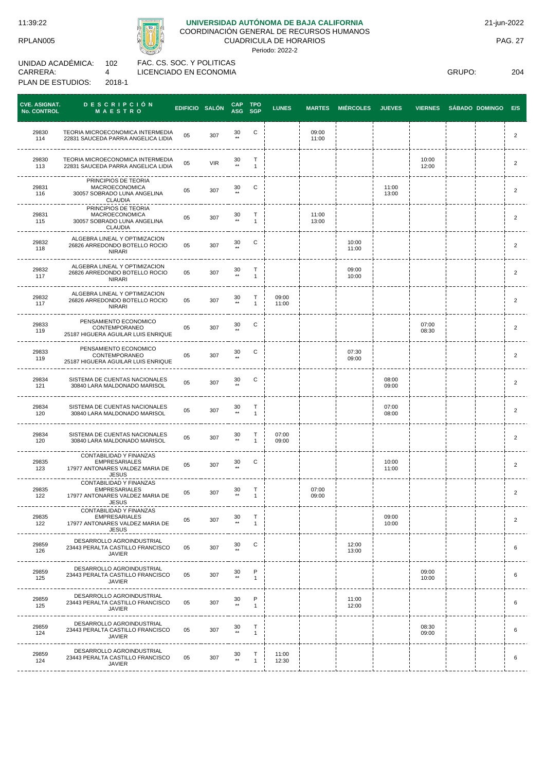RPLAN005

# **UNIVERSIDAD AUTÓNOMA DE BAJA CALIFORNIA**

COORDINACIÓN GENERAL DE RECURSOS HUMANOS CUADRICULA DE HORARIOS

Periodo: 2022-2

UNIDAD ACADÉMICA: CARRERA: PLAN DE ESTUDIOS: 102 4 2018-1

FAC. CS. SOC. Y POLITICAS LICENCIADO EN ECONOMIA

GRUPO: 204

| <b>CVE. ASIGNAT.</b><br>No. CONTROL | <b>DESCRIPCIÓN</b><br>MAESTRO                                                                      | EDIFICIO SALÓN |            | <b>CAP</b><br>ASG SGP  | TPO               | <b>LUNES</b>   | <b>MARTES</b>  | <b>MIÉRCOLES</b> | <b>JUEVES</b>  | <b>VIERNES</b> | SÁBADO DOMINGO | E/S            |
|-------------------------------------|----------------------------------------------------------------------------------------------------|----------------|------------|------------------------|-------------------|----------------|----------------|------------------|----------------|----------------|----------------|----------------|
| 29830<br>114                        | TEORIA MICROECONOMICA INTERMEDIA<br>22831 SAUCEDA PARRA ANGELICA LIDIA                             | 05             | 307        | 30                     | С                 |                | 09:00<br>11:00 |                  |                |                |                | $\overline{2}$ |
| 29830<br>113                        | TEORIA MICROECONOMICA INTERMEDIA<br>22831 SAUCEDA PARRA ANGELICA LIDIA                             | 05             | <b>VIR</b> | 30<br>$\star\star$     | Т<br>$\mathbf{1}$ |                |                |                  |                | 10:00<br>12:00 |                | $\overline{2}$ |
| 29831<br>116                        | PRINCIPIOS DE TEORIA<br><b>MACROECONOMICA</b><br>30057 SOBRADO LUNA ANGELINA<br>CLAUDIA            | 05             | 307        | 30                     | С                 |                |                |                  | 11:00<br>13:00 |                |                | $\overline{2}$ |
| 29831<br>115                        | PRINCIPIOS DE TEORIA<br><b>MACROECONOMICA</b><br>30057 SOBRADO LUNA ANGELINA<br>CLAUDIA            | 05             | 307        | 30<br>$\star\star$     | т<br>$\mathbf{1}$ |                | 11:00<br>13:00 |                  |                |                |                | $\overline{2}$ |
| 29832<br>118                        | ALGEBRA LINEAL Y OPTIMIZACION<br>26826 ARREDONDO BOTELLO ROCIO<br><b>NIRARI</b>                    | 05             | 307        | 30                     | С                 |                |                | 10:00<br>11:00   |                |                |                | $\overline{2}$ |
| 29832<br>117                        | ALGEBRA LINEAL Y OPTIMIZACION<br>26826 ARREDONDO BOTELLO ROCIO<br><b>NIRARI</b>                    | 05             | 307        | 30<br>$\star\star$     | т<br>$\mathbf{1}$ |                |                | 09:00<br>10:00   |                |                |                | $\overline{2}$ |
| 29832<br>117                        | ALGEBRA LINEAL Y OPTIMIZACION<br>26826 ARREDONDO BOTELLO ROCIO<br><b>NIRARI</b>                    | 05             | 307        | 30                     | т<br>$\mathbf{1}$ | 09:00<br>11:00 |                |                  |                |                |                | $\overline{2}$ |
| 29833<br>119                        | PENSAMIENTO ECONOMICO<br>CONTEMPORANEO<br>25187 HIGUERA AGUILAR LUIS ENRIQUE                       | 05             | 307        | 30<br>$\star\star$     | C                 |                |                |                  |                | 07:00<br>08:30 |                | $\overline{2}$ |
| 29833<br>119                        | PENSAMIENTO ECONOMICO<br>CONTEMPORANEO<br>25187 HIGUERA AGUILAR LUIS ENRIQUE                       | 05             | 307        | 30                     | C                 |                |                | 07:30<br>09:00   |                |                |                | $\overline{2}$ |
| 29834<br>121                        | SISTEMA DE CUENTAS NACIONALES<br>30840 LARA MALDONADO MARISOL                                      | 05             | 307        | 30<br>$\star\star$     | C                 |                |                |                  | 08:00<br>09:00 |                |                | $\overline{2}$ |
| 29834<br>120                        | SISTEMA DE CUENTAS NACIONALES<br>30840 LARA MALDONADO MARISOL                                      | 05             | 307        | 30<br>$\star\star$     | т<br>$\mathbf{1}$ |                |                |                  | 07:00<br>08:00 |                |                | $\overline{2}$ |
| 29834<br>120                        | SISTEMA DE CUENTAS NACIONALES<br>30840 LARA MALDONADO MARISOL                                      | 05             | 307        | 30<br>$^{\star\star}$  | т<br>$\mathbf{1}$ | 07:00<br>09:00 |                |                  |                |                |                | $\overline{2}$ |
| 29835<br>123                        | CONTABILIDAD Y FINANZAS<br><b>EMPRESARIALES</b><br>17977 ANTONARES VALDEZ MARIA DE<br><b>JESUS</b> | 05             | 307        | 30                     | С                 |                |                |                  | 10:00<br>11:00 |                |                | $\overline{2}$ |
| 29835<br>122                        | CONTABILIDAD Y FINANZAS<br><b>EMPRESARIALES</b><br>17977 ANTONARES VALDEZ MARIA DE<br><b>JESUS</b> | 05             | 307        | 30<br>$^{\star\star}$  | Т<br>$\mathbf{1}$ |                | 07:00<br>09:00 |                  |                |                |                | $\overline{2}$ |
| 29835<br>122                        | CONTABILIDAD Y FINANZAS<br><b>EMPRESARIALES</b><br>17977 ANTONARES VALDEZ MARIA DE<br><b>JESUS</b> | 05             | 307        | 30                     | т<br>$\mathbf{1}$ |                |                |                  | 09:00<br>10:00 |                |                | $\overline{2}$ |
| 29859<br>126                        | DESARROLLO AGROINDUSTRIAL<br>23443 PERALTA CASTILLO FRANCISCO<br>JAVIER                            | 05             | 307        | 30                     | C                 |                |                | 12:00<br>13:00   |                |                |                | 6              |
| 29859<br>125                        | DESARROLLO AGROINDUSTRIAL<br>23443 PERALTA CASTILLO FRANCISCO<br>JAVIER                            | 05             | 307        | 30<br>$\star\star$     | P<br>$\mathbf{1}$ |                |                |                  |                | 09:00<br>10:00 |                | 6              |
| 29859<br>125                        | DESARROLLO AGROINDUSTRIAL<br>23443 PERALTA CASTILLO FRANCISCO<br>JAVIER                            | 05             | 307        | 30<br>$\star\star$     | P<br>$\mathbf{1}$ |                |                | 11:00<br>12:00   |                |                |                | 6              |
| 29859<br>124                        | DESARROLLO AGROINDUSTRIAL<br>23443 PERALTA CASTILLO FRANCISCO<br>JAVIER                            | 05             | 307        | 30<br>$\star\star$     | т<br>$\mathbf{1}$ |                |                |                  |                | 08:30<br>09:00 |                | 6              |
| 29859<br>124                        | DESARROLLO AGROINDUSTRIAL<br>23443 PERALTA CASTILLO FRANCISCO<br><b>JAVIER</b>                     | 05             | 307        | $_{\rm \ast\ast}^{30}$ | т<br>$\mathbf{1}$ | 11:00<br>12:30 |                |                  |                |                |                | 6              |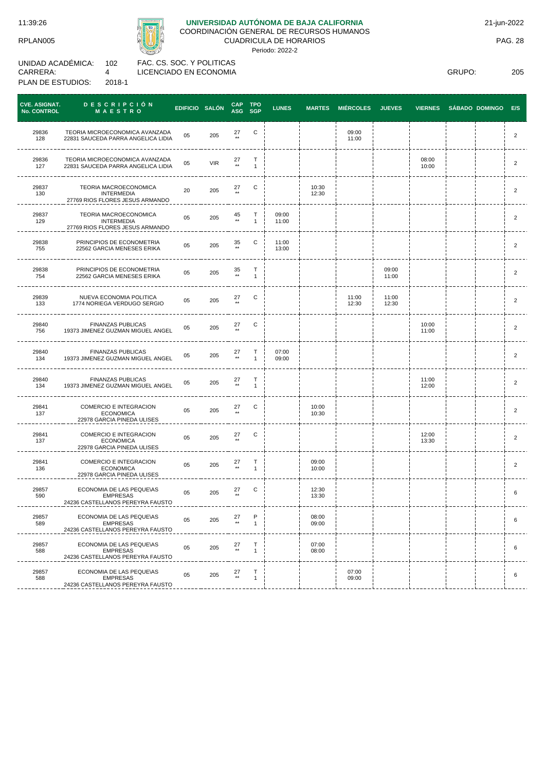RPLAN005



# **UNIVERSIDAD AUTÓNOMA DE BAJA CALIFORNIA**

COORDINACIÓN GENERAL DE RECURSOS HUMANOS

CUADRICULA DE HORARIOS Periodo: 2022-2

UNIDAD ACADÉMICA: CARRERA: PLAN DE ESTUDIOS: 102 4 2018-1

FAC. CS. SOC. Y POLITICAS LICENCIADO EN ECONOMIA

GRUPO: 205

| <b>CVE. ASIGNAT.</b><br><b>No. CONTROL</b> | <b>DESCRIPCIÓN</b><br>MAESTRO                                                   | EDIFICIO SALÓN |            | <b>CAP</b>             | TPO<br>ASG SGP    | <b>LUNES</b>   | <b>MARTES</b>  | <b>MIÉRCOLES</b> | <b>JUEVES</b>  | <b>VIERNES</b> | <b>SÁBADO DOMINGO</b> | E/S            |
|--------------------------------------------|---------------------------------------------------------------------------------|----------------|------------|------------------------|-------------------|----------------|----------------|------------------|----------------|----------------|-----------------------|----------------|
| 29836<br>128                               | TEORIA MICROECONOMICA AVANZADA<br>22831 SAUCEDA PARRA ANGELICA LIDIA            | 05             | 205        | 27                     | С                 |                |                | 09:00<br>11:00   |                |                |                       | $\overline{2}$ |
| 29836<br>127                               | TEORIA MICROECONOMICA AVANZADA<br>22831 SAUCEDA PARRA ANGELICA LIDIA            | 05             | <b>VIR</b> | 27<br>$^{\star\star}$  | т<br>$\mathbf{1}$ |                |                |                  |                | 08:00<br>10:00 |                       | 2              |
| 29837<br>130                               | TEORIA MACROECONOMICA<br><b>INTERMEDIA</b><br>27769 RIOS FLORES JESUS ARMANDO   | 20             | 205        | 27                     | С                 |                | 10:30<br>12:30 |                  |                |                |                       | 2              |
| 29837<br>129                               | TEORIA MACROECONOMICA<br><b>INTERMEDIA</b><br>27769 RIOS FLORES JESUS ARMANDO   | 05             | 205        | 45<br>$^{\star\star}$  | т<br>$\mathbf{1}$ | 09:00<br>11:00 |                |                  |                |                |                       | $\overline{2}$ |
| 29838<br>755                               | PRINCIPIOS DE ECONOMETRIA<br>22562 GARCIA MENESES ERIKA                         | 05             | 205        | 35<br>$\star\star$     | С                 | 11:00<br>13:00 |                |                  |                |                |                       | 2              |
| 29838<br>754                               | PRINCIPIOS DE ECONOMETRIA<br>22562 GARCIA MENESES ERIKA                         | 05             | 205        | 35<br>$^{\star\star}$  | т<br>$\mathbf{1}$ |                |                |                  | 09:00<br>11:00 |                |                       | 2              |
| 29839<br>133                               | NUEVA ECONOMIA POLITICA<br>1774 NORIEGA VERDUGO SERGIO                          | 05             | 205        | 27                     | С                 |                |                | 11:00<br>12:30   | 11:00<br>12:30 |                |                       | 2              |
| 29840<br>756                               | <b>FINANZAS PUBLICAS</b><br>19373 JIMENEZ GUZMAN MIGUEL ANGEL                   | 05             | 205        | 27<br>$^{\star\star}$  | С                 |                |                |                  |                | 10:00<br>11:00 |                       | $\overline{2}$ |
| 29840<br>134                               | <b>FINANZAS PUBLICAS</b><br>19373 JIMENEZ GUZMAN MIGUEL ANGEL                   | 05             | 205        | 27<br>$^{\star\star}$  | т<br>$\mathbf{1}$ | 07:00<br>09:00 |                |                  |                |                |                       | 2              |
| 29840<br>134                               | <b>FINANZAS PUBLICAS</b><br>19373 JIMENEZ GUZMAN MIGUEL ANGEL                   | 05             | 205        | $27 \atop \star \star$ | т<br>$\mathbf{1}$ |                |                |                  |                | 11:00<br>12:00 |                       | $\overline{2}$ |
| 29841<br>137                               | COMERCIO E INTEGRACION<br><b>ECONOMICA</b><br>22978 GARCIA PINEDA ULISES        | 05             | 205        | 27                     | С                 |                | 10:00<br>10:30 |                  |                |                |                       | 2              |
| 29841<br>137                               | COMERCIO E INTEGRACION<br><b>ECONOMICA</b><br>22978 GARCIA PINEDA ULISES        | 05             | 205        | 27                     | С                 |                |                |                  |                | 12:00<br>13:30 |                       | 2              |
| 29841<br>136                               | COMERCIO E INTEGRACION<br><b>ECONOMICA</b><br>22978 GARCIA PINEDA ULISES        | 05             | 205        | 27<br>$^{\star\star}$  | т<br>$\mathbf{1}$ |                | 09:00<br>10:00 |                  |                |                |                       | 2              |
| 29857<br>590                               | ECONOMIA DE LAS PEQUE\AS<br><b>EMPRESAS</b><br>24236 CASTELLANOS PEREYRA FAUSTO | 05             | 205        | 27                     | С                 |                | 12:30<br>13:30 |                  |                |                |                       | 6              |
| 29857<br>589                               | ECONOMIA DE LAS PEQUE\AS<br><b>EMPRESAS</b><br>24236 CASTELLANOS PEREYRA FAUSTO | 05             | 205        | 27                     | P<br>1            |                | 08:00<br>09:00 |                  |                |                |                       | 6              |
| 29857<br>588                               | ECONOMIA DE LAS PEQUE\AS<br><b>EMPRESAS</b><br>24236 CASTELLANOS PEREYRA FAUSTO | 05             | 205        | $27 \atop \ast \ast$   | т<br>$\mathbf{1}$ |                | 07:00<br>08:00 |                  |                |                |                       | 6              |
| 29857<br>588                               | ECONOMIA DE LAS PEQUE\AS<br><b>EMPRESAS</b><br>24236 CASTELLANOS PEREYRA FAUSTO | 05             | 205        | 27<br>$^{\star\star}$  | т<br>$\mathbf{1}$ |                |                | 07:00<br>09:00   |                |                |                       | 6              |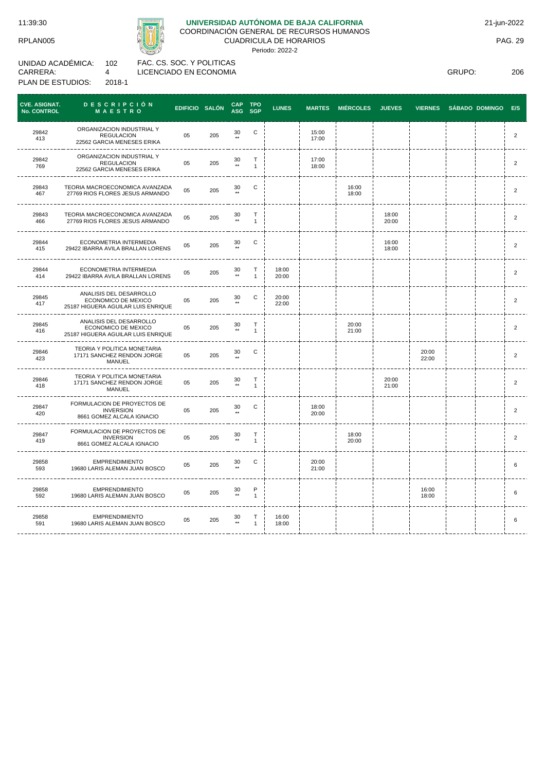CARRERA:

# **UNIVERSIDAD AUTÓNOMA DE BAJA CALIFORNIA**

COORDINACIÓN GENERAL DE RECURSOS HUMANOS

CUADRICULA DE HORARIOS Periodo: 2022-2

UNIDAD ACADÉMICA: PLAN DE ESTUDIOS: 102 4 2018-1 FAC. CS. SOC. Y POLITICAS LICENCIADO EN ECONOMIA

GRUPO: 206

| <b>CVE. ASIGNAT.</b><br>No. CONTROL | DESCRIPCIÓN<br>MAESTRO                                                               | EDIFICIO SALÓN |     | <b>CAP</b><br>ASG SGP | <b>TPO</b>                  | <b>LUNES</b>   | <b>MARTES</b>  | <b>MIÉRCOLES</b> | <b>JUEVES</b>  | <b>VIERNES</b> | <b>SÁBADO DOMINGO</b> | E/S            |
|-------------------------------------|--------------------------------------------------------------------------------------|----------------|-----|-----------------------|-----------------------------|----------------|----------------|------------------|----------------|----------------|-----------------------|----------------|
| 29842<br>413                        | ORGANIZACION INDUSTRIAL Y<br><b>REGULACION</b><br>22562 GARCIA MENESES ERIKA         | 05             | 205 | 30<br>$\star\star$    | C                           |                | 15:00<br>17:00 |                  |                |                |                       | $\overline{2}$ |
| 29842<br>769                        | ORGANIZACION INDUSTRIAL Y<br><b>REGULACION</b><br>22562 GARCIA MENESES ERIKA         | 05             | 205 | 30<br>$\star\star$    | T<br>$\mathbf{1}$           |                | 17:00<br>18:00 |                  |                |                |                       | 2              |
| 29843<br>467                        | TEORIA MACROECONOMICA AVANZADA<br>27769 RIOS FLORES JESUS ARMANDO                    | 05             | 205 | 30<br>$\star\star$    | С                           |                |                | 16:00<br>18:00   |                |                |                       | $\overline{2}$ |
| 29843<br>466                        | TEORIA MACROECONOMICA AVANZADA<br>27769 RIOS FLORES JESUS ARMANDO                    | 05             | 205 | 30<br>$\overline{1}$  | T<br>$\mathbf{1}$           |                |                |                  | 18:00<br>20:00 |                |                       | $\overline{2}$ |
| 29844<br>415                        | ECONOMETRIA INTERMEDIA<br>29422 IBARRA AVILA BRALLAN LORENS                          | 05             | 205 | 30                    | C                           |                |                |                  | 16:00<br>18:00 |                |                       | $\overline{2}$ |
| 29844<br>414                        | ECONOMETRIA INTERMEDIA<br>29422 IBARRA AVILA BRALLAN LORENS                          | 05             | 205 | 30<br>$**$            | Т<br>$\mathbf{1}$           | 18:00<br>20:00 |                |                  |                |                |                       | $\overline{2}$ |
| 29845<br>417                        | ANALISIS DEL DESARROLLO<br>ECONOMICO DE MEXICO<br>25187 HIGUERA AGUILAR LUIS ENRIQUE | 05             | 205 | 30                    | C                           | 20:00<br>22:00 |                |                  |                |                |                       | $\overline{2}$ |
| 29845<br>416                        | ANALISIS DEL DESARROLLO<br>ECONOMICO DE MEXICO<br>25187 HIGUERA AGUILAR LUIS ENRIQUE | 05             | 205 | 30<br>$\star\star$    | $\mathsf T$<br>$\mathbf{1}$ |                |                | 20:00<br>21:00   |                |                |                       | 2              |
| 29846<br>423                        | TEORIA Y POLITICA MONETARIA<br>17171 SANCHEZ RENDON JORGE<br><b>MANUEL</b>           | 05             | 205 | $30$ **               | C                           |                |                |                  |                | 20:00<br>22:00 |                       | 2              |
| 29846<br>418                        | TEORIA Y POLITICA MONETARIA<br>17171 SANCHEZ RENDON JORGE<br><b>MANUEL</b>           | 05             | 205 | 30<br>$\star\star$    | $\top$<br>$\mathbf{1}$      |                |                |                  | 20:00<br>21:00 |                |                       | $\overline{2}$ |
| 29847<br>420                        | FORMULACION DE PROYECTOS DE<br><b>INVERSION</b><br>8661 GOMEZ ALCALA IGNACIO         | 05             | 205 | 30                    | С                           |                | 18:00<br>20:00 |                  |                |                |                       | $\overline{2}$ |
| 29847<br>419                        | FORMULACION DE PROYECTOS DE<br><b>INVERSION</b><br>8661 GOMEZ ALCALA IGNACIO         | 05             | 205 | 30<br>$\overline{1}$  | T<br>$\mathbf{1}$           |                |                | 18:00<br>20:00   |                |                |                       | $\overline{2}$ |
| 29858<br>593                        | <b>EMPRENDIMIENTO</b><br>19680 LARIS ALEMAN JUAN BOSCO                               | 05             | 205 | 30<br>$\star\star$    | C                           |                | 20:00<br>21:00 |                  |                |                |                       | 6              |
| 29858<br>592                        | <b>EMPRENDIMIENTO</b><br>19680 LARIS ALEMAN JUAN BOSCO                               | 05             | 205 | $30$ **               | P<br>$\mathbf{1}$           |                |                |                  |                | 16:00<br>18:00 |                       | 6              |
| 29858<br>591                        | <b>EMPRENDIMIENTO</b><br>19680 LARIS ALEMAN JUAN BOSCO                               | 05             | 205 | 30<br>$^{\star\star}$ | Т<br>$\mathbf{1}$           | 16:00<br>18:00 |                |                  |                |                |                       | 6              |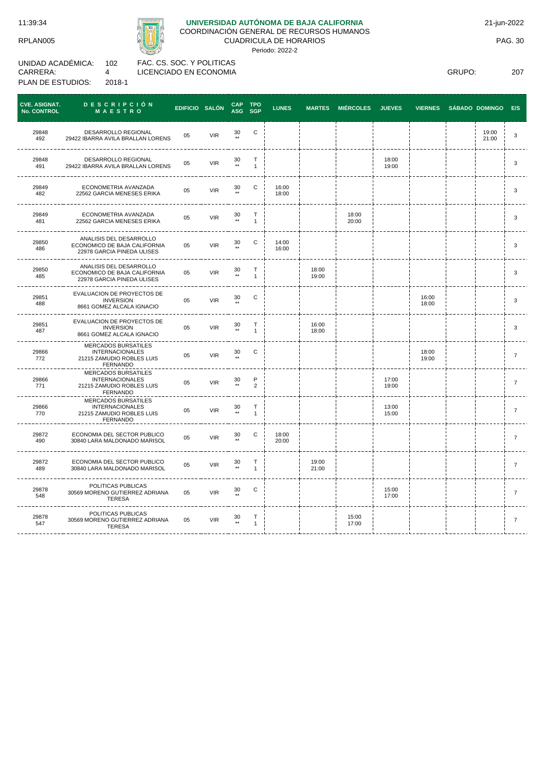RPLAN005



# **UNIVERSIDAD AUTÓNOMA DE BAJA CALIFORNIA**

COORDINACIÓN GENERAL DE RECURSOS HUMANOS

CUADRICULA DE HORARIOS Periodo: 2022-2

UNIDAD ACADÉMICA: CARRERA: PLAN DE ESTUDIOS: 102 4 2018-1

FAC. CS. SOC. Y POLITICAS LICENCIADO EN ECONOMIA

| C<br>29848<br>DESARROLLO REGIONAL<br>30<br>19:00<br><b>VIR</b><br>05<br>$\star\star$<br>492<br>29422 IBARRA AVILA BRALLAN LORENS<br>21:00<br>29848<br>DESARROLLO REGIONAL<br>$\mathsf{T}$<br>18:00<br>$_{\rm \ast\ast}^{30}$<br>05<br><b>VIR</b><br>491<br>29422 IBARRA AVILA BRALLAN LORENS<br>$\mathbf{1}$<br>19:00<br>ECONOMETRIA AVANZADA<br>C<br>16:00<br>29849<br>30<br>05<br><b>VIR</b><br>$\star\star$<br>482<br>22562 GARCIA MENESES ERIKA<br>18:00<br>$\top$<br>18:00<br>29849<br>ECONOMETRIA AVANZADA<br>30<br><b>VIR</b><br>05<br>$\star\star$<br>$\mathbf{1}$<br>20:00<br>22562 GARCIA MENESES ERIKA<br>481<br>ANALISIS DEL DESARROLLO<br>$\mathsf{C}$<br>29850<br>14:00<br>30<br>ECONOMICO DE BAJA CALIFORNIA<br>05<br><b>VIR</b><br>$***$<br>486<br>16:00<br>22978 GARCIA PINEDA ULISES<br>ANALISIS DEL DESARROLLO<br>$\top$<br>18:00<br>29850<br>30<br>ECONOMICO DE BAJA CALIFORNIA<br>05<br><b>VIR</b><br>$\star\star$<br>485<br>$\mathbf{1}$<br>19:00<br>22978 GARCIA PINEDA ULISES<br>EVALUACION DE PROYECTOS DE<br>C<br>29851<br>16:00<br>30<br><b>VIR</b><br><b>INVERSION</b><br>05 | <b>CVE. ASIGNAT.</b><br><b>No. CONTROL</b> | <b>DESCRIPCIÓN</b><br>MAESTRO | EDIFICIO SALÓN | <b>CAP</b><br>ASG SGP | <b>TPO</b> | <b>LUNES</b> | <b>MARTES</b> | <b>MIÉRCOLES</b> | <b>JUEVES</b> | <b>VIERNES</b> | <b>SÁBADO DOMINGO</b> | E/S            |
|----------------------------------------------------------------------------------------------------------------------------------------------------------------------------------------------------------------------------------------------------------------------------------------------------------------------------------------------------------------------------------------------------------------------------------------------------------------------------------------------------------------------------------------------------------------------------------------------------------------------------------------------------------------------------------------------------------------------------------------------------------------------------------------------------------------------------------------------------------------------------------------------------------------------------------------------------------------------------------------------------------------------------------------------------------------------------------------------------------|--------------------------------------------|-------------------------------|----------------|-----------------------|------------|--------------|---------------|------------------|---------------|----------------|-----------------------|----------------|
|                                                                                                                                                                                                                                                                                                                                                                                                                                                                                                                                                                                                                                                                                                                                                                                                                                                                                                                                                                                                                                                                                                          |                                            |                               |                |                       |            |              |               |                  |               |                |                       | 3              |
|                                                                                                                                                                                                                                                                                                                                                                                                                                                                                                                                                                                                                                                                                                                                                                                                                                                                                                                                                                                                                                                                                                          |                                            |                               |                |                       |            |              |               |                  |               |                |                       | 3              |
|                                                                                                                                                                                                                                                                                                                                                                                                                                                                                                                                                                                                                                                                                                                                                                                                                                                                                                                                                                                                                                                                                                          |                                            |                               |                |                       |            |              |               |                  |               |                |                       | 3              |
|                                                                                                                                                                                                                                                                                                                                                                                                                                                                                                                                                                                                                                                                                                                                                                                                                                                                                                                                                                                                                                                                                                          |                                            |                               |                |                       |            |              |               |                  |               |                |                       | 3              |
|                                                                                                                                                                                                                                                                                                                                                                                                                                                                                                                                                                                                                                                                                                                                                                                                                                                                                                                                                                                                                                                                                                          |                                            |                               |                |                       |            |              |               |                  |               |                |                       | 3              |
|                                                                                                                                                                                                                                                                                                                                                                                                                                                                                                                                                                                                                                                                                                                                                                                                                                                                                                                                                                                                                                                                                                          |                                            |                               |                |                       |            |              |               |                  |               |                |                       | 3              |
| 8661 GOMEZ ALCALA IGNACIO                                                                                                                                                                                                                                                                                                                                                                                                                                                                                                                                                                                                                                                                                                                                                                                                                                                                                                                                                                                                                                                                                | 488                                        |                               |                | $^{\star\star}$       |            |              |               |                  |               | 18:00          |                       | 3              |
| EVALUACION DE PROYECTOS DE<br>29851<br>16:00<br>$\frac{30}{11}$<br>Т<br><b>VIR</b><br><b>INVERSION</b><br>05<br>18:00<br>$\mathbf{1}$<br>487<br>8661 GOMEZ ALCALA IGNACIO                                                                                                                                                                                                                                                                                                                                                                                                                                                                                                                                                                                                                                                                                                                                                                                                                                                                                                                                |                                            |                               |                |                       |            |              |               |                  |               |                |                       | 3              |
| <b>MERCADOS BURSATILES</b><br>29866<br><b>INTERNACIONALES</b><br>С<br>18:00<br>$\frac{30}{11}$<br><b>VIR</b><br>05<br>772<br>21215 ZAMUDIO ROBLES LUIS<br>19:00<br>FERNANDO                                                                                                                                                                                                                                                                                                                                                                                                                                                                                                                                                                                                                                                                                                                                                                                                                                                                                                                              |                                            |                               |                |                       |            |              |               |                  |               |                |                       | $\overline{7}$ |
| MERCADOS BURSATILES<br>$\frac{P}{2}$<br>29866<br><b>INTERNACIONALES</b><br>$_{\bf *}^{30}$<br>17:00<br><b>VIR</b><br>05<br>771<br>21215 ZAMUDIO ROBLES LUIS<br>19:00<br><b>FERNANDO</b>                                                                                                                                                                                                                                                                                                                                                                                                                                                                                                                                                                                                                                                                                                                                                                                                                                                                                                                  |                                            |                               |                |                       |            |              |               |                  |               |                |                       | $\overline{7}$ |
| MERCADOS BURSATILES<br>29866<br><b>INTERNACIONALES</b><br>Т<br>30<br>13:00<br><b>VIR</b><br>05<br>$\star\star$<br>21215 ZAMUDIO ROBLES LUIS<br>$\mathbf{1}$<br>15:00<br>770<br><b>FERNANDO</b>                                                                                                                                                                                                                                                                                                                                                                                                                                                                                                                                                                                                                                                                                                                                                                                                                                                                                                           |                                            |                               |                |                       |            |              |               |                  |               |                |                       | $\overline{7}$ |
| 29872<br>ECONOMIA DEL SECTOR PUBLICO<br>C<br>18:00<br>30<br>05<br><b>VIR</b><br>$\star\star$<br>30840 LARA MALDONADO MARISOL<br>20:00<br>490                                                                                                                                                                                                                                                                                                                                                                                                                                                                                                                                                                                                                                                                                                                                                                                                                                                                                                                                                             |                                            |                               |                |                       |            |              |               |                  |               |                |                       | $\overline{7}$ |
| 29872<br>ECONOMIA DEL SECTOR PUBLICO<br>Т<br>19:00<br>30<br>05<br><b>VIR</b><br>$\star\star$<br>$\mathbf{1}$<br>21:00<br>489<br>30840 LARA MALDONADO MARISOL                                                                                                                                                                                                                                                                                                                                                                                                                                                                                                                                                                                                                                                                                                                                                                                                                                                                                                                                             |                                            |                               |                |                       |            |              |               |                  |               |                |                       | $\overline{7}$ |
| POLITICAS PUBLICAS<br>$\mathsf{C}$<br>29878<br>15:00<br>30<br><b>VIR</b><br>30569 MORENO GUTIERREZ ADRIANA<br>05<br>$\star\star$<br>548<br>17:00<br><b>TERESA</b>                                                                                                                                                                                                                                                                                                                                                                                                                                                                                                                                                                                                                                                                                                                                                                                                                                                                                                                                        |                                            |                               |                |                       |            |              |               |                  |               |                |                       | 7              |
| POLITICAS PUBLICAS<br>29878<br>$\top$<br>15:00<br>$\frac{30}{11}$<br>30569 MORENO GUTIERREZ ADRIANA<br>05<br><b>VIR</b><br>547<br>17:00<br>$\mathbf{1}$<br><b>TERESA</b>                                                                                                                                                                                                                                                                                                                                                                                                                                                                                                                                                                                                                                                                                                                                                                                                                                                                                                                                 |                                            |                               |                |                       |            |              |               |                  |               |                |                       | $\overline{7}$ |

PAG. 30

GRUPO: 207